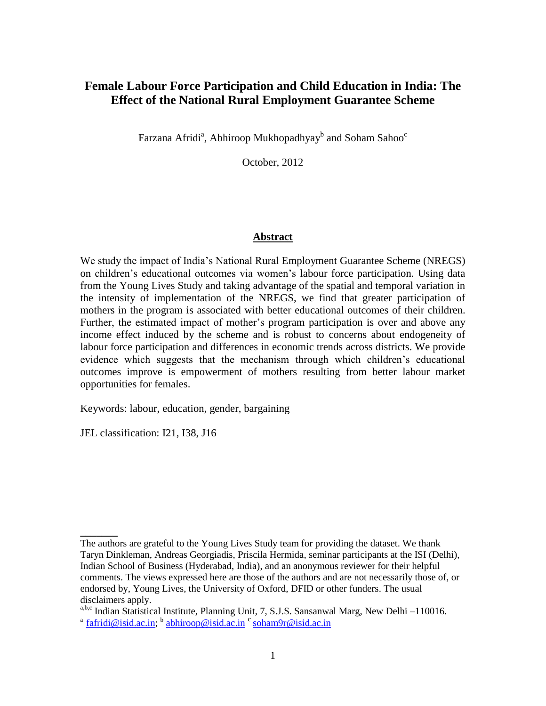# **Female Labour Force Participation and Child Education in India: The Effect of the National Rural Employment Guarantee Scheme**

Farzana Afridi $\rm{^a}$ , Abhiroop Mukhopadhyay $\rm{^b}$  and Soham Sahoo $\rm{^c}$ 

October, 2012

### **Abstract**

We study the impact of India"s National Rural Employment Guarantee Scheme (NREGS) on children"s educational outcomes via women"s labour force participation. Using data from the Young Lives Study and taking advantage of the spatial and temporal variation in the intensity of implementation of the NREGS, we find that greater participation of mothers in the program is associated with better educational outcomes of their children. Further, the estimated impact of mother"s program participation is over and above any income effect induced by the scheme and is robust to concerns about endogeneity of labour force participation and differences in economic trends across districts. We provide evidence which suggests that the mechanism through which children"s educational outcomes improve is empowerment of mothers resulting from better labour market opportunities for females.

Keywords: labour, education, gender, bargaining

JEL classification: I21, I38, J16

**\_\_\_\_\_\_\_**

The authors are grateful to the Young Lives Study team for providing the dataset. We thank Taryn Dinkleman, Andreas Georgiadis, Priscila Hermida, seminar participants at the ISI (Delhi), Indian School of Business (Hyderabad, India), and an anonymous reviewer for their helpful comments. The views expressed here are those of the authors and are not necessarily those of, or endorsed by, Young Lives, the University of Oxford, DFID or other funders. The usual disclaimers apply.

a,b,c Indian Statistical Institute, Planning Unit, 7, S.J.S. Sansanwal Marg, New Delhi –110016. <sup>a</sup> [fafridi@isid.ac.in;](mailto:fafridi@isid.ac.in) <sup>b</sup> [abhiroop@isid.ac.in](mailto:abhiroop@isid.ac.in) <sup>c</sup> soham9r@isid.ac.in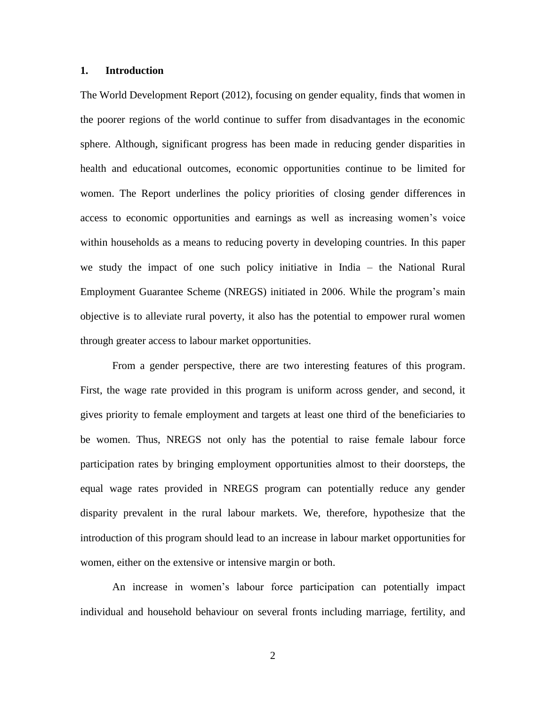### **1. Introduction**

The World Development Report (2012), focusing on gender equality, finds that women in the poorer regions of the world continue to suffer from disadvantages in the economic sphere. Although, significant progress has been made in reducing gender disparities in health and educational outcomes, economic opportunities continue to be limited for women. The Report underlines the policy priorities of closing gender differences in access to economic opportunities and earnings as well as increasing women"s voice within households as a means to reducing poverty in developing countries. In this paper we study the impact of one such policy initiative in India – the National Rural Employment Guarantee Scheme (NREGS) initiated in 2006. While the program"s main objective is to alleviate rural poverty, it also has the potential to empower rural women through greater access to labour market opportunities.

From a gender perspective, there are two interesting features of this program. First, the wage rate provided in this program is uniform across gender, and second, it gives priority to female employment and targets at least one third of the beneficiaries to be women. Thus, NREGS not only has the potential to raise female labour force participation rates by bringing employment opportunities almost to their doorsteps, the equal wage rates provided in NREGS program can potentially reduce any gender disparity prevalent in the rural labour markets. We, therefore, hypothesize that the introduction of this program should lead to an increase in labour market opportunities for women, either on the extensive or intensive margin or both.

An increase in women"s labour force participation can potentially impact individual and household behaviour on several fronts including marriage, fertility, and

2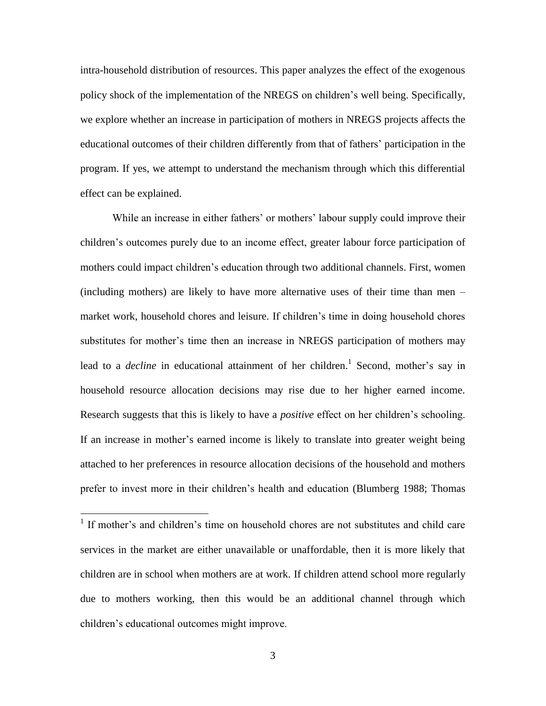intra-household distribution of resources. This paper analyzes the effect of the exogenous policy shock of the implementation of the NREGS on children"s well being. Specifically, we explore whether an increase in participation of mothers in NREGS projects affects the educational outcomes of their children differently from that of fathers" participation in the program. If yes, we attempt to understand the mechanism through which this differential effect can be explained.

While an increase in either fathers' or mothers' labour supply could improve their children"s outcomes purely due to an income effect, greater labour force participation of mothers could impact children"s education through two additional channels. First, women (including mothers) are likely to have more alternative uses of their time than men – market work, household chores and leisure. If children"s time in doing household chores substitutes for mother"s time then an increase in NREGS participation of mothers may lead to a *decline* in educational attainment of her children.<sup>1</sup> Second, mother's say in household resource allocation decisions may rise due to her higher earned income. Research suggests that this is likely to have a *positive* effect on her children"s schooling. If an increase in mother's earned income is likely to translate into greater weight being attached to her preferences in resource allocation decisions of the household and mothers prefer to invest more in their children"s health and education (Blumberg 1988; Thomas

<sup>&</sup>lt;sup>1</sup> If mother's and children's time on household chores are not substitutes and child care services in the market are either unavailable or unaffordable, then it is more likely that children are in school when mothers are at work. If children attend school more regularly due to mothers working, then this would be an additional channel through which children"s educational outcomes might improve.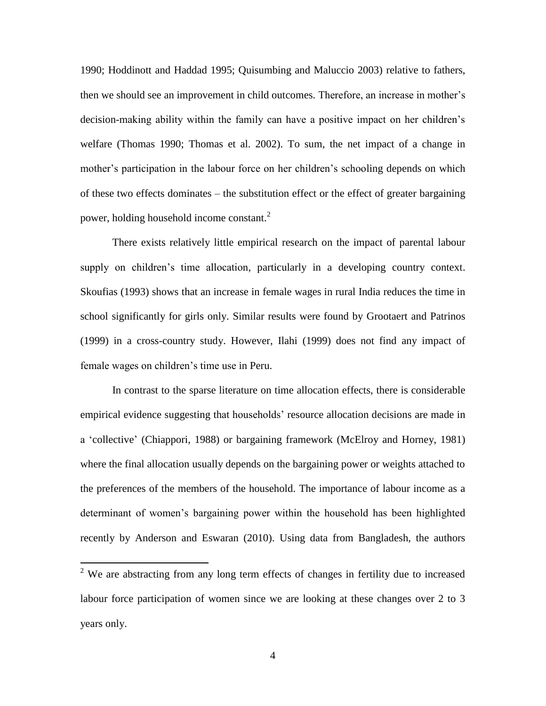1990; Hoddinott and Haddad 1995; Quisumbing and Maluccio 2003) relative to fathers, then we should see an improvement in child outcomes. Therefore, an increase in mother"s decision-making ability within the family can have a positive impact on her children"s welfare (Thomas 1990; Thomas et al. 2002). To sum, the net impact of a change in mother's participation in the labour force on her children's schooling depends on which of these two effects dominates – the substitution effect or the effect of greater bargaining power, holding household income constant.<sup>2</sup>

There exists relatively little empirical research on the impact of parental labour supply on children"s time allocation, particularly in a developing country context. Skoufias (1993) shows that an increase in female wages in rural India reduces the time in school significantly for girls only. Similar results were found by Grootaert and Patrinos (1999) in a cross-country study. However, Ilahi (1999) does not find any impact of female wages on children's time use in Peru.

In contrast to the sparse literature on time allocation effects, there is considerable empirical evidence suggesting that households' resource allocation decisions are made in a "collective" (Chiappori, 1988) or bargaining framework (McElroy and Horney, 1981) where the final allocation usually depends on the bargaining power or weights attached to the preferences of the members of the household. The importance of labour income as a determinant of women's bargaining power within the household has been highlighted recently by Anderson and Eswaran (2010). Using data from Bangladesh, the authors

 $2$  We are abstracting from any long term effects of changes in fertility due to increased labour force participation of women since we are looking at these changes over 2 to 3 years only.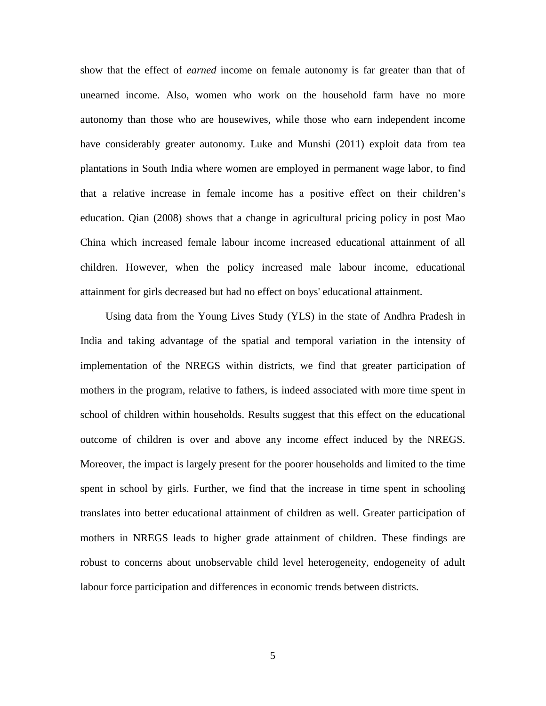show that the effect of *earned* income on female autonomy is far greater than that of unearned income. Also, women who work on the household farm have no more autonomy than those who are housewives, while those who earn independent income have considerably greater autonomy. Luke and Munshi (2011) exploit data from tea plantations in South India where women are employed in permanent wage labor, to find that a relative increase in female income has a positive effect on their children"s education. Qian (2008) shows that a change in agricultural pricing policy in post Mao China which increased female labour income increased educational attainment of all children. However, when the policy increased male labour income, educational attainment for girls decreased but had no effect on boys' educational attainment.

Using data from the Young Lives Study (YLS) in the state of Andhra Pradesh in India and taking advantage of the spatial and temporal variation in the intensity of implementation of the NREGS within districts, we find that greater participation of mothers in the program, relative to fathers, is indeed associated with more time spent in school of children within households. Results suggest that this effect on the educational outcome of children is over and above any income effect induced by the NREGS. Moreover, the impact is largely present for the poorer households and limited to the time spent in school by girls. Further, we find that the increase in time spent in schooling translates into better educational attainment of children as well. Greater participation of mothers in NREGS leads to higher grade attainment of children. These findings are robust to concerns about unobservable child level heterogeneity, endogeneity of adult labour force participation and differences in economic trends between districts.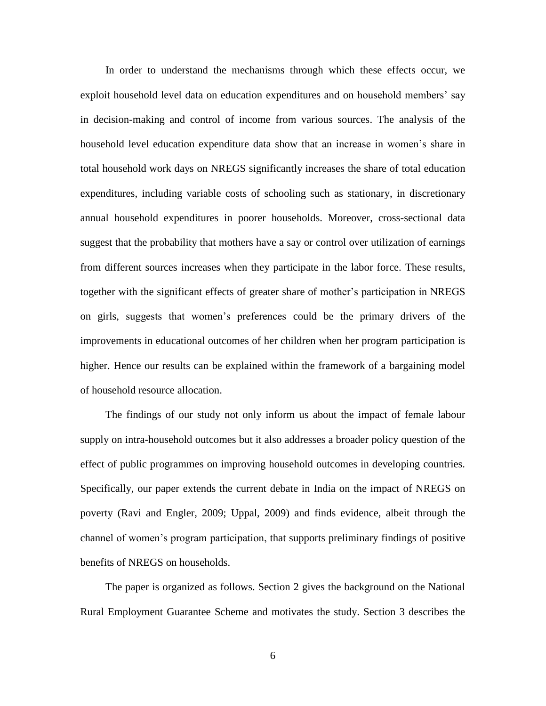In order to understand the mechanisms through which these effects occur, we exploit household level data on education expenditures and on household members' say in decision-making and control of income from various sources. The analysis of the household level education expenditure data show that an increase in women"s share in total household work days on NREGS significantly increases the share of total education expenditures, including variable costs of schooling such as stationary, in discretionary annual household expenditures in poorer households. Moreover, cross-sectional data suggest that the probability that mothers have a say or control over utilization of earnings from different sources increases when they participate in the labor force. These results, together with the significant effects of greater share of mother"s participation in NREGS on girls, suggests that women"s preferences could be the primary drivers of the improvements in educational outcomes of her children when her program participation is higher. Hence our results can be explained within the framework of a bargaining model of household resource allocation.

The findings of our study not only inform us about the impact of female labour supply on intra-household outcomes but it also addresses a broader policy question of the effect of public programmes on improving household outcomes in developing countries. Specifically, our paper extends the current debate in India on the impact of NREGS on poverty (Ravi and Engler, 2009; Uppal, 2009) and finds evidence, albeit through the channel of women"s program participation, that supports preliminary findings of positive benefits of NREGS on households.

The paper is organized as follows. Section 2 gives the background on the National Rural Employment Guarantee Scheme and motivates the study. Section 3 describes the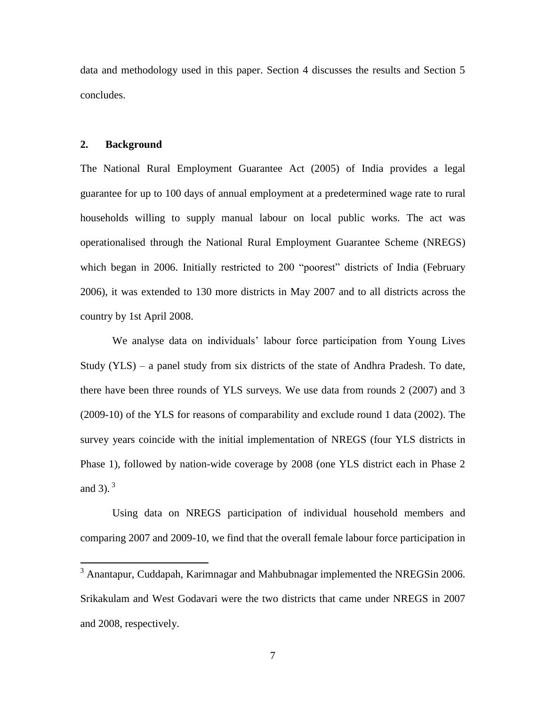data and methodology used in this paper. Section 4 discusses the results and Section 5 concludes.

### **2. Background**

 $\overline{a}$ 

The National Rural Employment Guarantee Act (2005) of India provides a legal guarantee for up to 100 days of annual employment at a predetermined wage rate to rural households willing to supply manual labour on local public works. The act was operationalised through the National Rural Employment Guarantee Scheme (NREGS) which began in 2006. Initially restricted to 200 "poorest" districts of India (February 2006), it was extended to 130 more districts in May 2007 and to all districts across the country by 1st April 2008.

We analyse data on individuals' labour force participation from Young Lives Study (YLS) – a panel study from six districts of the state of Andhra Pradesh. To date, there have been three rounds of YLS surveys. We use data from rounds 2 (2007) and 3 (2009-10) of the YLS for reasons of comparability and exclude round 1 data (2002). The survey years coincide with the initial implementation of NREGS (four YLS districts in Phase 1), followed by nation-wide coverage by 2008 (one YLS district each in Phase 2 and 3).<sup>3</sup>

Using data on NREGS participation of individual household members and comparing 2007 and 2009-10, we find that the overall female labour force participation in

<sup>&</sup>lt;sup>3</sup> Anantapur, Cuddapah, Karimnagar and Mahbubnagar implemented the NREGSin 2006. Srikakulam and West Godavari were the two districts that came under NREGS in 2007 and 2008, respectively.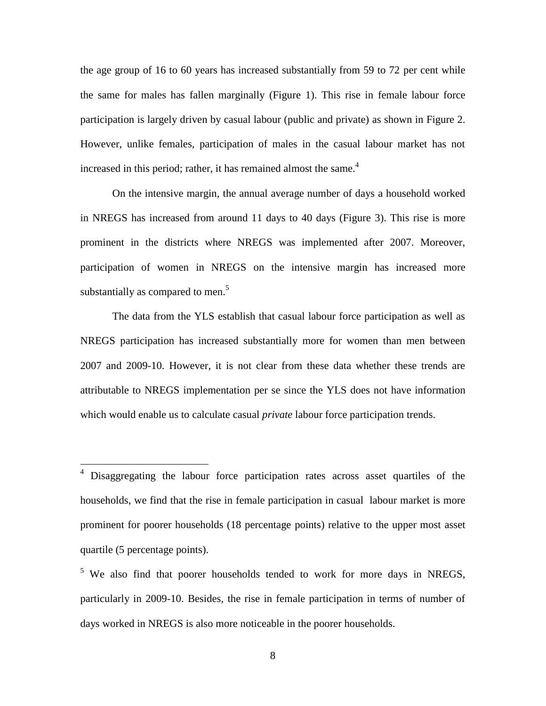the age group of 16 to 60 years has increased substantially from 59 to 72 per cent while the same for males has fallen marginally (Figure 1). This rise in female labour force participation is largely driven by casual labour (public and private) as shown in Figure 2. However, unlike females, participation of males in the casual labour market has not increased in this period; rather, it has remained almost the same.<sup>4</sup>

On the intensive margin, the annual average number of days a household worked in NREGS has increased from around 11 days to 40 days (Figure 3). This rise is more prominent in the districts where NREGS was implemented after 2007. Moreover, participation of women in NREGS on the intensive margin has increased more substantially as compared to men.<sup>5</sup>

The data from the YLS establish that casual labour force participation as well as NREGS participation has increased substantially more for women than men between 2007 and 2009-10. However, it is not clear from these data whether these trends are attributable to NREGS implementation per se since the YLS does not have information which would enable us to calculate casual *private* labour force participation trends.

<sup>&</sup>lt;sup>4</sup> Disaggregating the labour force participation rates across asset quartiles of the households, we find that the rise in female participation in casual labour market is more prominent for poorer households (18 percentage points) relative to the upper most asset quartile (5 percentage points).

<sup>&</sup>lt;sup>5</sup> We also find that poorer households tended to work for more days in NREGS, particularly in 2009-10. Besides, the rise in female participation in terms of number of days worked in NREGS is also more noticeable in the poorer households.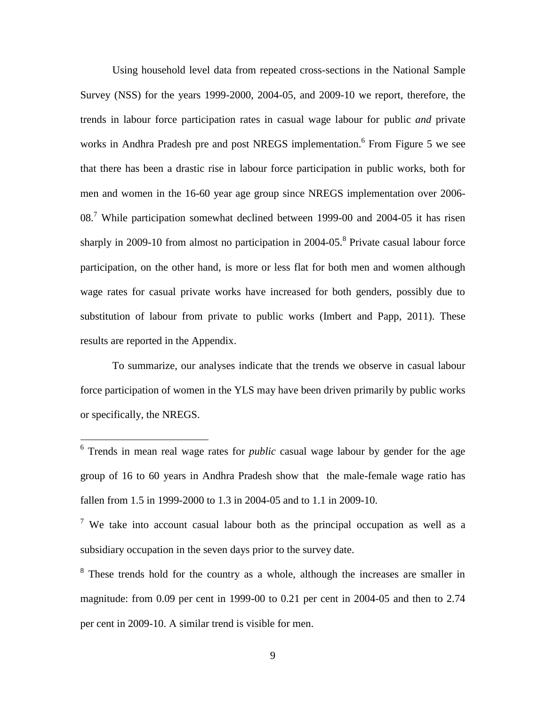Using household level data from repeated cross-sections in the National Sample Survey (NSS) for the years 1999-2000, 2004-05, and 2009-10 we report, therefore, the trends in labour force participation rates in casual wage labour for public *and* private works in Andhra Pradesh pre and post NREGS implementation.<sup>6</sup> From Figure 5 we see that there has been a drastic rise in labour force participation in public works, both for men and women in the 16-60 year age group since NREGS implementation over 2006- 08.<sup>7</sup> While participation somewhat declined between 1999-00 and 2004-05 it has risen sharply in 2009-10 from almost no participation in 2004-05.<sup>8</sup> Private casual labour force participation, on the other hand, is more or less flat for both men and women although wage rates for casual private works have increased for both genders, possibly due to substitution of labour from private to public works (Imbert and Papp, 2011). These results are reported in the Appendix.

To summarize, our analyses indicate that the trends we observe in casual labour force participation of women in the YLS may have been driven primarily by public works or specifically, the NREGS.

<sup>&</sup>lt;sup>6</sup> Trends in mean real wage rates for *public* casual wage labour by gender for the age group of 16 to 60 years in Andhra Pradesh show that the male-female wage ratio has fallen from 1.5 in 1999-2000 to 1.3 in 2004-05 and to 1.1 in 2009-10.

<sup>&</sup>lt;sup>7</sup> We take into account casual labour both as the principal occupation as well as a subsidiary occupation in the seven days prior to the survey date.

<sup>&</sup>lt;sup>8</sup> These trends hold for the country as a whole, although the increases are smaller in magnitude: from 0.09 per cent in 1999-00 to 0.21 per cent in 2004-05 and then to 2.74 per cent in 2009-10. A similar trend is visible for men.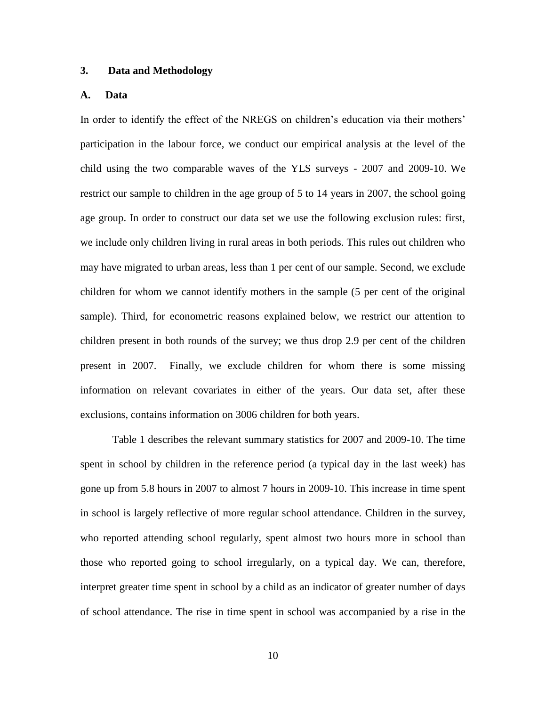### **3. Data and Methodology**

### **A. Data**

In order to identify the effect of the NREGS on children"s education via their mothers" participation in the labour force, we conduct our empirical analysis at the level of the child using the two comparable waves of the YLS surveys - 2007 and 2009-10. We restrict our sample to children in the age group of 5 to 14 years in 2007, the school going age group. In order to construct our data set we use the following exclusion rules: first, we include only children living in rural areas in both periods. This rules out children who may have migrated to urban areas, less than 1 per cent of our sample. Second, we exclude children for whom we cannot identify mothers in the sample (5 per cent of the original sample). Third, for econometric reasons explained below, we restrict our attention to children present in both rounds of the survey; we thus drop 2.9 per cent of the children present in 2007. Finally, we exclude children for whom there is some missing information on relevant covariates in either of the years. Our data set, after these exclusions, contains information on 3006 children for both years.

Table 1 describes the relevant summary statistics for 2007 and 2009-10. The time spent in school by children in the reference period (a typical day in the last week) has gone up from 5.8 hours in 2007 to almost 7 hours in 2009-10. This increase in time spent in school is largely reflective of more regular school attendance. Children in the survey, who reported attending school regularly, spent almost two hours more in school than those who reported going to school irregularly, on a typical day. We can, therefore, interpret greater time spent in school by a child as an indicator of greater number of days of school attendance. The rise in time spent in school was accompanied by a rise in the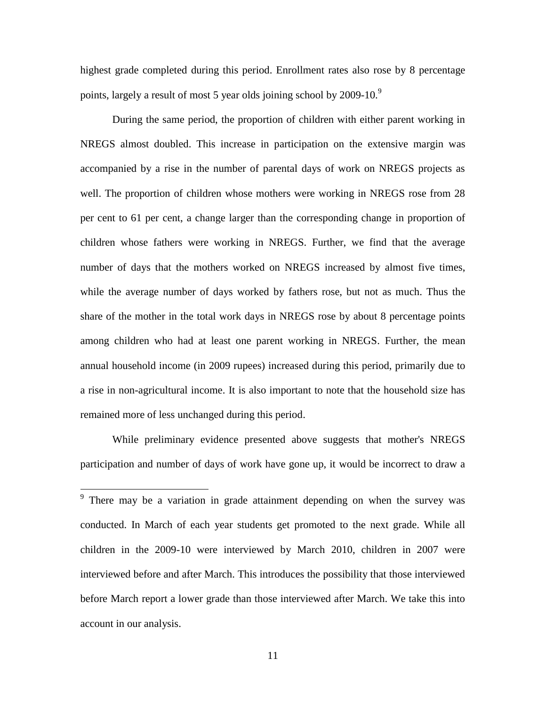highest grade completed during this period. Enrollment rates also rose by 8 percentage points, largely a result of most 5 year olds joining school by 2009-10.<sup>9</sup>

During the same period, the proportion of children with either parent working in NREGS almost doubled. This increase in participation on the extensive margin was accompanied by a rise in the number of parental days of work on NREGS projects as well. The proportion of children whose mothers were working in NREGS rose from 28 per cent to 61 per cent, a change larger than the corresponding change in proportion of children whose fathers were working in NREGS. Further, we find that the average number of days that the mothers worked on NREGS increased by almost five times, while the average number of days worked by fathers rose, but not as much. Thus the share of the mother in the total work days in NREGS rose by about 8 percentage points among children who had at least one parent working in NREGS. Further, the mean annual household income (in 2009 rupees) increased during this period, primarily due to a rise in non-agricultural income. It is also important to note that the household size has remained more of less unchanged during this period.

While preliminary evidence presented above suggests that mother's NREGS participation and number of days of work have gone up, it would be incorrect to draw a

<sup>&</sup>lt;sup>9</sup> There may be a variation in grade attainment depending on when the survey was conducted. In March of each year students get promoted to the next grade. While all children in the 2009-10 were interviewed by March 2010, children in 2007 were interviewed before and after March. This introduces the possibility that those interviewed before March report a lower grade than those interviewed after March. We take this into account in our analysis.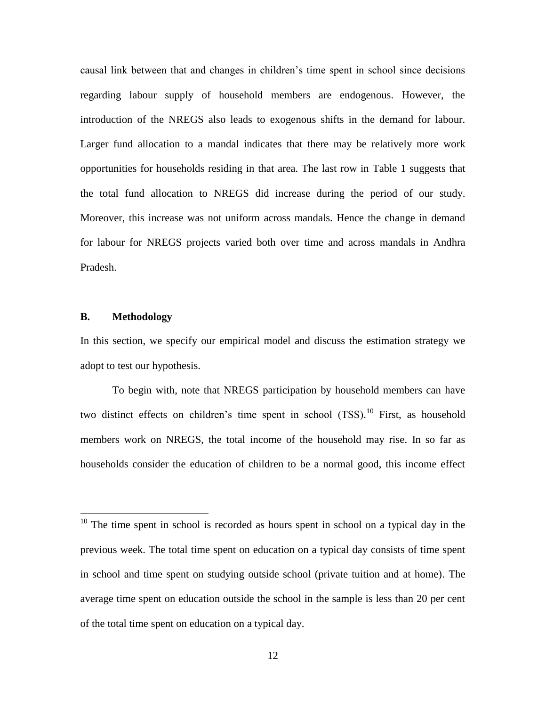causal link between that and changes in children"s time spent in school since decisions regarding labour supply of household members are endogenous. However, the introduction of the NREGS also leads to exogenous shifts in the demand for labour. Larger fund allocation to a mandal indicates that there may be relatively more work opportunities for households residing in that area. The last row in Table 1 suggests that the total fund allocation to NREGS did increase during the period of our study. Moreover, this increase was not uniform across mandals. Hence the change in demand for labour for NREGS projects varied both over time and across mandals in Andhra Pradesh.

### **B. Methodology**

 $\overline{a}$ 

In this section, we specify our empirical model and discuss the estimation strategy we adopt to test our hypothesis.

To begin with, note that NREGS participation by household members can have two distinct effects on children's time spent in school (TSS).<sup>10</sup> First, as household members work on NREGS, the total income of the household may rise. In so far as households consider the education of children to be a normal good, this income effect

 $10$  The time spent in school is recorded as hours spent in school on a typical day in the previous week. The total time spent on education on a typical day consists of time spent in school and time spent on studying outside school (private tuition and at home). The average time spent on education outside the school in the sample is less than 20 per cent of the total time spent on education on a typical day.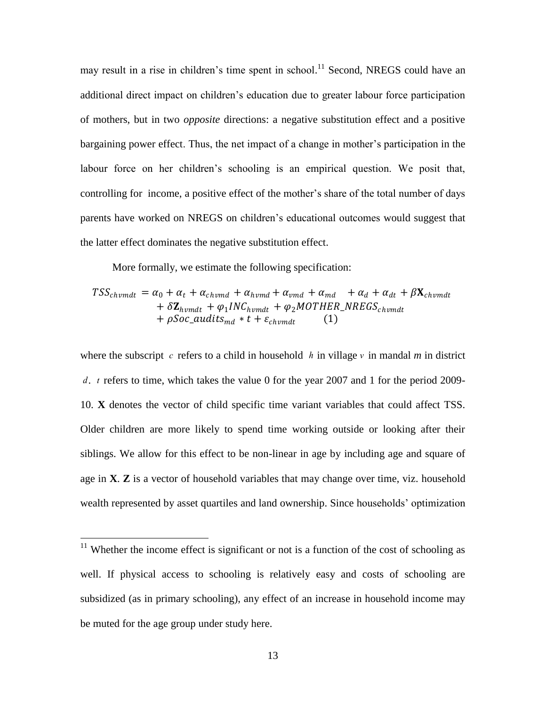may result in a rise in children's time spent in school.<sup>11</sup> Second, NREGS could have an additional direct impact on children"s education due to greater labour force participation of mothers, but in two *opposite* directions: a negative substitution effect and a positive bargaining power effect. Thus, the net impact of a change in mother"s participation in the labour force on her children's schooling is an empirical question. We posit that, controlling for income, a positive effect of the mother's share of the total number of days parents have worked on NREGS on children"s educational outcomes would suggest that the latter effect dominates the negative substitution effect.

More formally, we estimate the following specification:

$$
TSS_{chromdt} = \alpha_0 + \alpha_t + \alpha_{chromd} + \alpha_{hrmd} + \alpha_{vmd} + \alpha_{md} + \alpha_d + \alpha_{dt} + \beta \mathbf{X}_{chromdt}
$$
  
+ 
$$
\delta \mathbf{Z}_{hrmdt} + \varphi_1 INC_{hrmdt} + \varphi_2 MOTHER\_NREGS_{chromdt}
$$
  
+ 
$$
\rho Soc\_audits_{md} * t + \varepsilon_{chromdt}
$$
 (1)

where the subscript c refers to a child in household h in village v in mandal m in district d. t refers to time, which takes the value 0 for the year 2007 and 1 for the period 2009-10. **X** denotes the vector of child specific time variant variables that could affect TSS. Older children are more likely to spend time working outside or looking after their siblings. We allow for this effect to be non-linear in age by including age and square of age in **X**. **Z** is a vector of household variables that may change over time, viz. household wealth represented by asset quartiles and land ownership. Since households" optimization

 $11$  Whether the income effect is significant or not is a function of the cost of schooling as well. If physical access to schooling is relatively easy and costs of schooling are subsidized (as in primary schooling), any effect of an increase in household income may be muted for the age group under study here.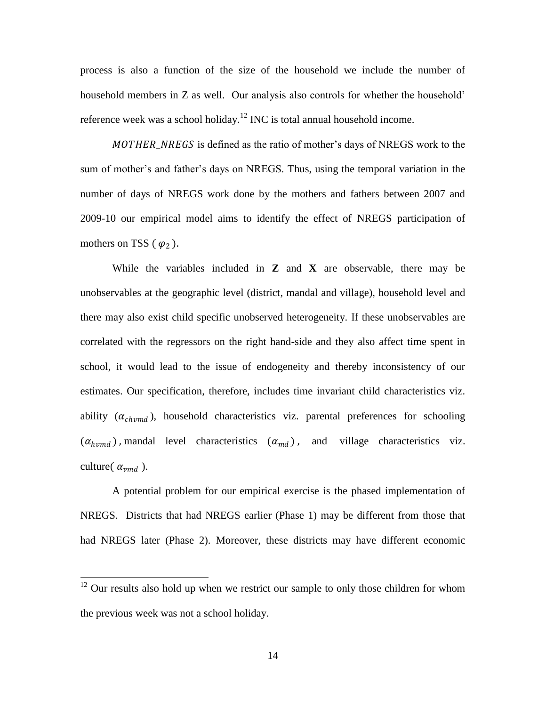process is also a function of the size of the household we include the number of household members in Z as well. Our analysis also controls for whether the household' reference week was a school holiday.<sup>12</sup> INC is total annual household income.

MOTHER\_NREGS is defined as the ratio of mother's days of NREGS work to the sum of mother"s and father"s days on NREGS. Thus, using the temporal variation in the number of days of NREGS work done by the mothers and fathers between 2007 and 2009-10 our empirical model aims to identify the effect of NREGS participation of mothers on TSS ( $\varphi_2$ ).

While the variables included in **Z** and **X** are observable, there may be unobservables at the geographic level (district, mandal and village), household level and there may also exist child specific unobserved heterogeneity. If these unobservables are correlated with the regressors on the right hand-side and they also affect time spent in school, it would lead to the issue of endogeneity and thereby inconsistency of our estimates. Our specification, therefore, includes time invariant child characteristics viz. ability  $(\alpha_{\text{chvmd}})$ , household characteristics viz. parental preferences for schooling  $(\alpha_{hvmd})$ , mandal level characteristics  $(\alpha_{md})$ , and village characteristics viz. culture( $\alpha_{vmd}$ ).

A potential problem for our empirical exercise is the phased implementation of NREGS. Districts that had NREGS earlier (Phase 1) may be different from those that had NREGS later (Phase 2). Moreover, these districts may have different economic

 $12$  Our results also hold up when we restrict our sample to only those children for whom the previous week was not a school holiday.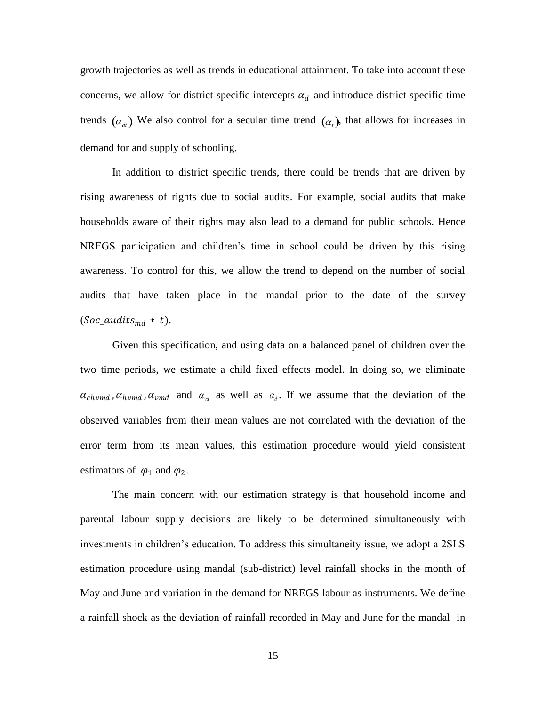growth trajectories as well as trends in educational attainment. To take into account these concerns, we allow for district specific intercepts  $\alpha_d$  and introduce district specific time trends  $(\alpha_d)$  We also control for a secular time trend  $(\alpha_t)$ , that allows for increases in demand for and supply of schooling.

In addition to district specific trends, there could be trends that are driven by rising awareness of rights due to social audits. For example, social audits that make households aware of their rights may also lead to a demand for public schools. Hence NREGS participation and children"s time in school could be driven by this rising awareness. To control for this, we allow the trend to depend on the number of social audits that have taken place in the mandal prior to the date of the survey  $(Soc\_audits_{md} * t).$ 

Given this specification, and using data on a balanced panel of children over the two time periods, we estimate a child fixed effects model. In doing so, we eliminate  $\alpha_{\text{chvmd}}$ ,  $\alpha_{\text{hvmd}}$ ,  $\alpha_{\text{vmd}}$  and  $\alpha_{\text{vd}}$  as well as  $\alpha_{\text{d}}$ . If we assume that the deviation of the observed variables from their mean values are not correlated with the deviation of the error term from its mean values, this estimation procedure would yield consistent estimators of  $\varphi_1$  and  $\varphi_2$ .

The main concern with our estimation strategy is that household income and parental labour supply decisions are likely to be determined simultaneously with investments in children"s education. To address this simultaneity issue, we adopt a 2SLS estimation procedure using mandal (sub-district) level rainfall shocks in the month of May and June and variation in the demand for NREGS labour as instruments. We define a rainfall shock as the deviation of rainfall recorded in May and June for the mandal in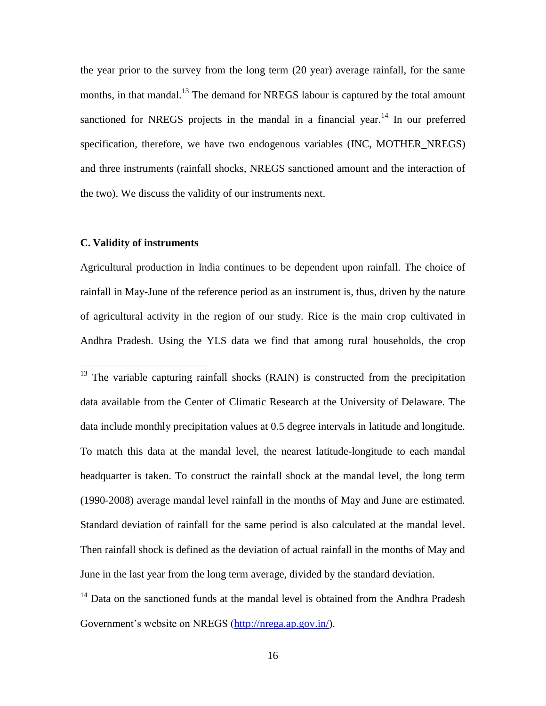the year prior to the survey from the long term (20 year) average rainfall, for the same months, in that mandal.<sup>13</sup> The demand for NREGS labour is captured by the total amount sanctioned for NREGS projects in the mandal in a financial year.<sup>14</sup> In our preferred specification, therefore, we have two endogenous variables (INC, MOTHER NREGS) and three instruments (rainfall shocks, NREGS sanctioned amount and the interaction of the two). We discuss the validity of our instruments next.

### **C. Validity of instruments**

 $\overline{a}$ 

Agricultural production in India continues to be dependent upon rainfall. The choice of rainfall in May-June of the reference period as an instrument is, thus, driven by the nature of agricultural activity in the region of our study. Rice is the main crop cultivated in Andhra Pradesh. Using the YLS data we find that among rural households, the crop

 $13$  The variable capturing rainfall shocks (RAIN) is constructed from the precipitation data available from the Center of Climatic Research at the University of Delaware. The data include monthly precipitation values at 0.5 degree intervals in latitude and longitude. To match this data at the mandal level, the nearest latitude-longitude to each mandal headquarter is taken. To construct the rainfall shock at the mandal level, the long term (1990-2008) average mandal level rainfall in the months of May and June are estimated. Standard deviation of rainfall for the same period is also calculated at the mandal level. Then rainfall shock is defined as the deviation of actual rainfall in the months of May and June in the last year from the long term average, divided by the standard deviation.

<sup>14</sup> Data on the sanctioned funds at the mandal level is obtained from the Andhra Pradesh Government's website on NREGS [\(http://nrega.ap.gov.in/\)](http://nrega.ap.gov.in/).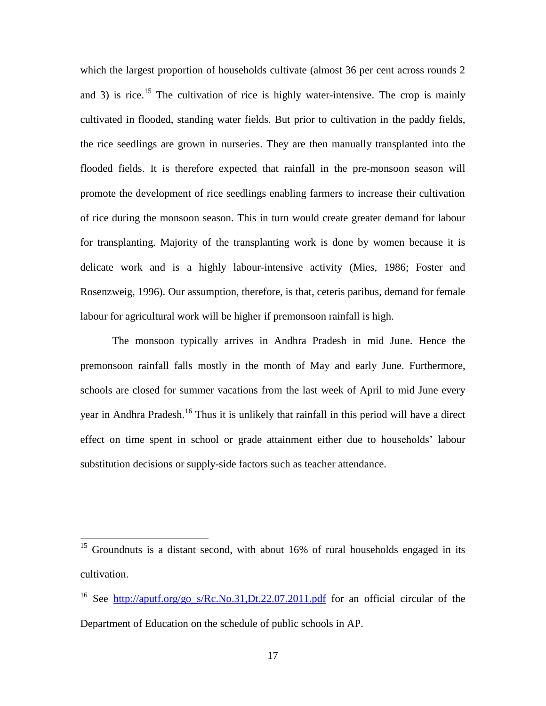which the largest proportion of households cultivate (almost 36 per cent across rounds 2) and 3) is rice.<sup>15</sup> The cultivation of rice is highly water-intensive. The crop is mainly cultivated in flooded, standing water fields. But prior to cultivation in the paddy fields, the rice seedlings are grown in nurseries. They are then manually transplanted into the flooded fields. It is therefore expected that rainfall in the pre-monsoon season will promote the development of rice seedlings enabling farmers to increase their cultivation of rice during the monsoon season. This in turn would create greater demand for labour for transplanting. Majority of the transplanting work is done by women because it is delicate work and is a highly labour-intensive activity (Mies, 1986; Foster and Rosenzweig, 1996). Our assumption, therefore, is that, ceteris paribus, demand for female labour for agricultural work will be higher if premonsoon rainfall is high.

The monsoon typically arrives in Andhra Pradesh in mid June. Hence the premonsoon rainfall falls mostly in the month of May and early June. Furthermore, schools are closed for summer vacations from the last week of April to mid June every year in Andhra Pradesh.<sup>16</sup> Thus it is unlikely that rainfall in this period will have a direct effect on time spent in school or grade attainment either due to households" labour substitution decisions or supply-side factors such as teacher attendance.

<sup>&</sup>lt;sup>15</sup> Groundnuts is a distant second, with about 16% of rural households engaged in its cultivation.

<sup>&</sup>lt;sup>16</sup> See http://aputf.org/go s/Rc.No.31,Dt.22.07.2011.pdf for an official circular of the Department of Education on the schedule of public schools in AP.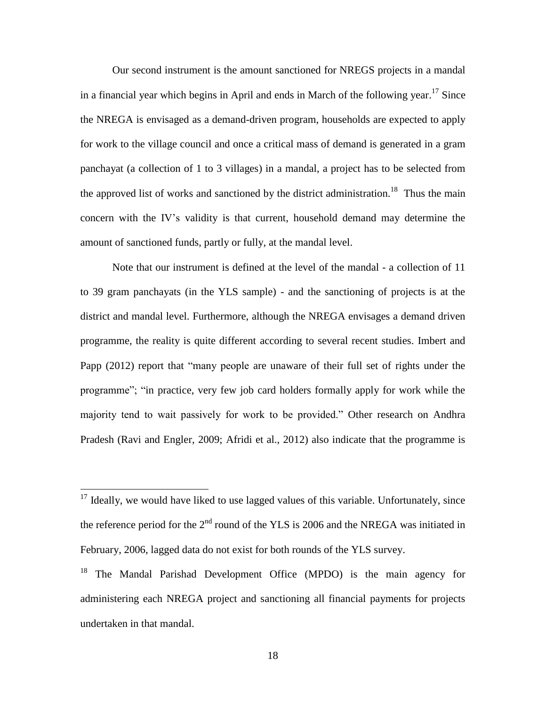Our second instrument is the amount sanctioned for NREGS projects in a mandal in a financial year which begins in April and ends in March of the following year. <sup>17</sup> Since the NREGA is envisaged as a demand-driven program, households are expected to apply for work to the village council and once a critical mass of demand is generated in a gram panchayat (a collection of 1 to 3 villages) in a mandal, a project has to be selected from the approved list of works and sanctioned by the district administration.<sup>18</sup> Thus the main concern with the IV"s validity is that current, household demand may determine the amount of sanctioned funds, partly or fully, at the mandal level.

Note that our instrument is defined at the level of the mandal - a collection of 11 to 39 gram panchayats (in the YLS sample) - and the sanctioning of projects is at the district and mandal level. Furthermore, although the NREGA envisages a demand driven programme, the reality is quite different according to several recent studies. Imbert and Papp (2012) report that "many people are unaware of their full set of rights under the programme"; "in practice, very few job card holders formally apply for work while the majority tend to wait passively for work to be provided." Other research on Andhra Pradesh (Ravi and Engler, 2009; Afridi et al., 2012) also indicate that the programme is

 $17$  Ideally, we would have liked to use lagged values of this variable. Unfortunately, since the reference period for the  $2<sup>nd</sup>$  round of the YLS is 2006 and the NREGA was initiated in February, 2006, lagged data do not exist for both rounds of the YLS survey.

<sup>&</sup>lt;sup>18</sup> The Mandal Parishad Development Office (MPDO) is the main agency for administering each NREGA project and sanctioning all financial payments for projects undertaken in that mandal.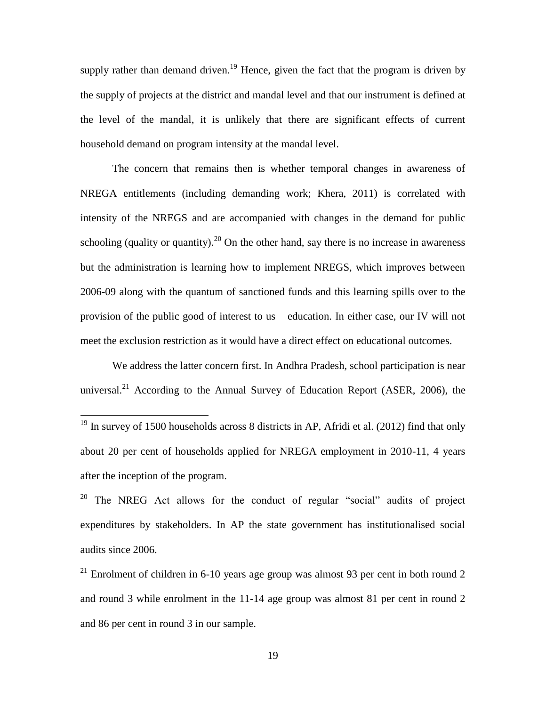supply rather than demand driven.<sup>19</sup> Hence, given the fact that the program is driven by the supply of projects at the district and mandal level and that our instrument is defined at the level of the mandal, it is unlikely that there are significant effects of current household demand on program intensity at the mandal level.

The concern that remains then is whether temporal changes in awareness of NREGA entitlements (including demanding work; Khera, 2011) is correlated with intensity of the NREGS and are accompanied with changes in the demand for public schooling (quality or quantity).<sup>20</sup> On the other hand, say there is no increase in awareness but the administration is learning how to implement NREGS, which improves between 2006-09 along with the quantum of sanctioned funds and this learning spills over to the provision of the public good of interest to us – education. In either case, our IV will not meet the exclusion restriction as it would have a direct effect on educational outcomes.

We address the latter concern first. In Andhra Pradesh, school participation is near universal.<sup>21</sup> According to the Annual Survey of Education Report (ASER, 2006), the

 $\overline{a}$ 

 $20$  The NREG Act allows for the conduct of regular "social" audits of project expenditures by stakeholders. In AP the state government has institutionalised social audits since 2006.

 $19$  In survey of 1500 households across 8 districts in AP, Afridi et al. (2012) find that only about 20 per cent of households applied for NREGA employment in 2010-11, 4 years after the inception of the program.

<sup>&</sup>lt;sup>21</sup> Enrolment of children in 6-10 years age group was almost 93 per cent in both round 2 and round 3 while enrolment in the 11-14 age group was almost 81 per cent in round 2 and 86 per cent in round 3 in our sample.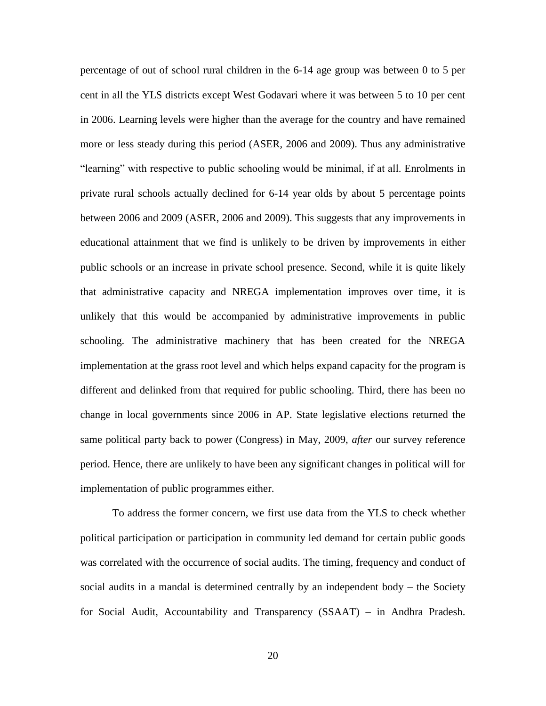percentage of out of school rural children in the 6-14 age group was between 0 to 5 per cent in all the YLS districts except West Godavari where it was between 5 to 10 per cent in 2006. Learning levels were higher than the average for the country and have remained more or less steady during this period (ASER, 2006 and 2009). Thus any administrative "learning" with respective to public schooling would be minimal, if at all. Enrolments in private rural schools actually declined for 6-14 year olds by about 5 percentage points between 2006 and 2009 (ASER, 2006 and 2009). This suggests that any improvements in educational attainment that we find is unlikely to be driven by improvements in either public schools or an increase in private school presence. Second, while it is quite likely that administrative capacity and NREGA implementation improves over time, it is unlikely that this would be accompanied by administrative improvements in public schooling. The administrative machinery that has been created for the NREGA implementation at the grass root level and which helps expand capacity for the program is different and delinked from that required for public schooling. Third, there has been no change in local governments since 2006 in AP. State legislative elections returned the same political party back to power (Congress) in May, 2009, *after* our survey reference period. Hence, there are unlikely to have been any significant changes in political will for implementation of public programmes either.

To address the former concern, we first use data from the YLS to check whether political participation or participation in community led demand for certain public goods was correlated with the occurrence of social audits. The timing, frequency and conduct of social audits in a mandal is determined centrally by an independent body – the Society for Social Audit, Accountability and Transparency (SSAAT) – in Andhra Pradesh.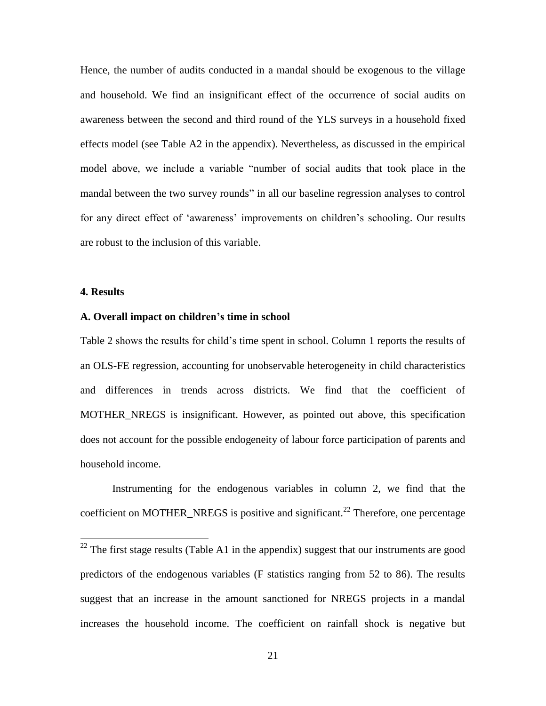Hence, the number of audits conducted in a mandal should be exogenous to the village and household. We find an insignificant effect of the occurrence of social audits on awareness between the second and third round of the YLS surveys in a household fixed effects model (see Table A2 in the appendix). Nevertheless, as discussed in the empirical model above, we include a variable "number of social audits that took place in the mandal between the two survey rounds" in all our baseline regression analyses to control for any direct effect of 'awareness' improvements on children's schooling. Our results are robust to the inclusion of this variable.

### **4. Results**

 $\overline{a}$ 

### **A. Overall impact on children's time in school**

Table 2 shows the results for child"s time spent in school. Column 1 reports the results of an OLS-FE regression, accounting for unobservable heterogeneity in child characteristics and differences in trends across districts. We find that the coefficient of MOTHER\_NREGS is insignificant. However, as pointed out above, this specification does not account for the possible endogeneity of labour force participation of parents and household income.

Instrumenting for the endogenous variables in column 2, we find that the coefficient on MOTHER\_NREGS is positive and significant.<sup>22</sup> Therefore, one percentage

 $22$  The first stage results (Table A1 in the appendix) suggest that our instruments are good predictors of the endogenous variables (F statistics ranging from 52 to 86). The results suggest that an increase in the amount sanctioned for NREGS projects in a mandal increases the household income. The coefficient on rainfall shock is negative but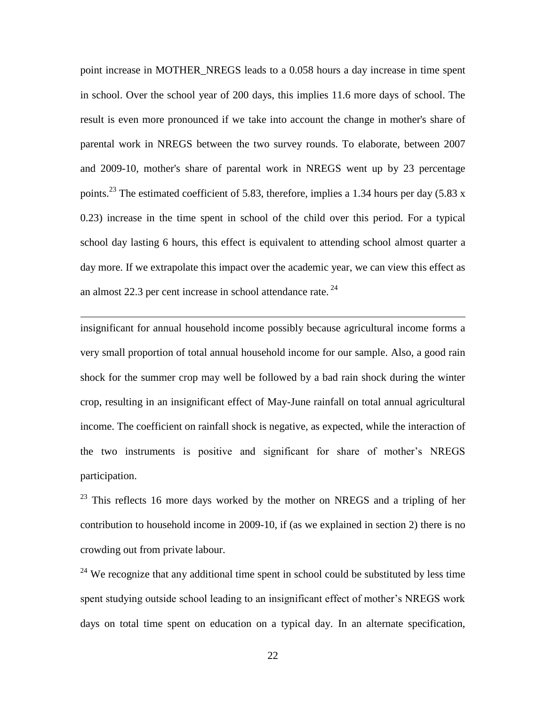point increase in MOTHER\_NREGS leads to a 0.058 hours a day increase in time spent in school. Over the school year of 200 days, this implies 11.6 more days of school. The result is even more pronounced if we take into account the change in mother's share of parental work in NREGS between the two survey rounds. To elaborate, between 2007 and 2009-10, mother's share of parental work in NREGS went up by 23 percentage points.<sup>23</sup> The estimated coefficient of 5.83, therefore, implies a 1.34 hours per day (5.83 x 0.23) increase in the time spent in school of the child over this period. For a typical school day lasting 6 hours, this effect is equivalent to attending school almost quarter a day more. If we extrapolate this impact over the academic year, we can view this effect as an almost 22.3 per cent increase in school attendance rate.  $24$ 

insignificant for annual household income possibly because agricultural income forms a very small proportion of total annual household income for our sample. Also, a good rain shock for the summer crop may well be followed by a bad rain shock during the winter crop, resulting in an insignificant effect of May-June rainfall on total annual agricultural income. The coefficient on rainfall shock is negative, as expected, while the interaction of the two instruments is positive and significant for share of mother"s NREGS participation.

 $\overline{a}$ 

 $23$  This reflects 16 more days worked by the mother on NREGS and a tripling of her contribution to household income in 2009-10, if (as we explained in section 2) there is no crowding out from private labour.

<sup>24</sup> We recognize that any additional time spent in school could be substituted by less time spent studying outside school leading to an insignificant effect of mother's NREGS work days on total time spent on education on a typical day. In an alternate specification,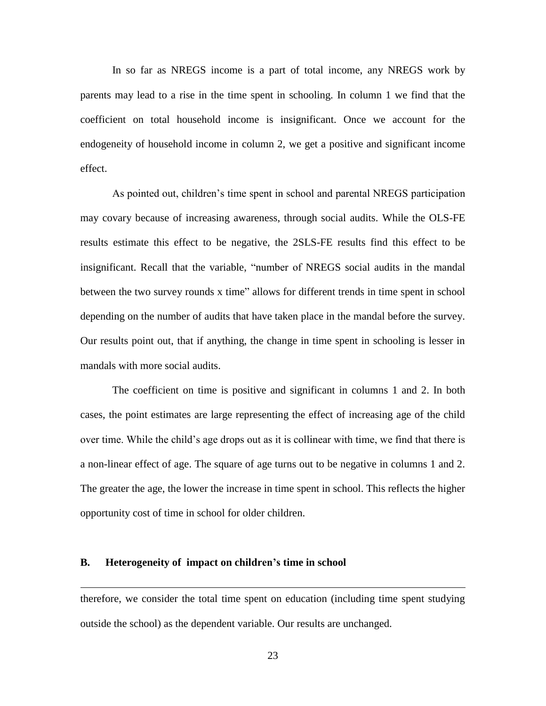In so far as NREGS income is a part of total income, any NREGS work by parents may lead to a rise in the time spent in schooling. In column 1 we find that the coefficient on total household income is insignificant. Once we account for the endogeneity of household income in column 2, we get a positive and significant income effect.

As pointed out, children"s time spent in school and parental NREGS participation may covary because of increasing awareness, through social audits. While the OLS-FE results estimate this effect to be negative, the 2SLS-FE results find this effect to be insignificant. Recall that the variable, "number of NREGS social audits in the mandal between the two survey rounds x time" allows for different trends in time spent in school depending on the number of audits that have taken place in the mandal before the survey. Our results point out, that if anything, the change in time spent in schooling is lesser in mandals with more social audits.

The coefficient on time is positive and significant in columns 1 and 2. In both cases, the point estimates are large representing the effect of increasing age of the child over time. While the child"s age drops out as it is collinear with time, we find that there is a non-linear effect of age. The square of age turns out to be negative in columns 1 and 2. The greater the age, the lower the increase in time spent in school. This reflects the higher opportunity cost of time in school for older children.

#### **B. Heterogeneity of impact on children's time in school**

 $\overline{a}$ 

therefore, we consider the total time spent on education (including time spent studying outside the school) as the dependent variable. Our results are unchanged.

23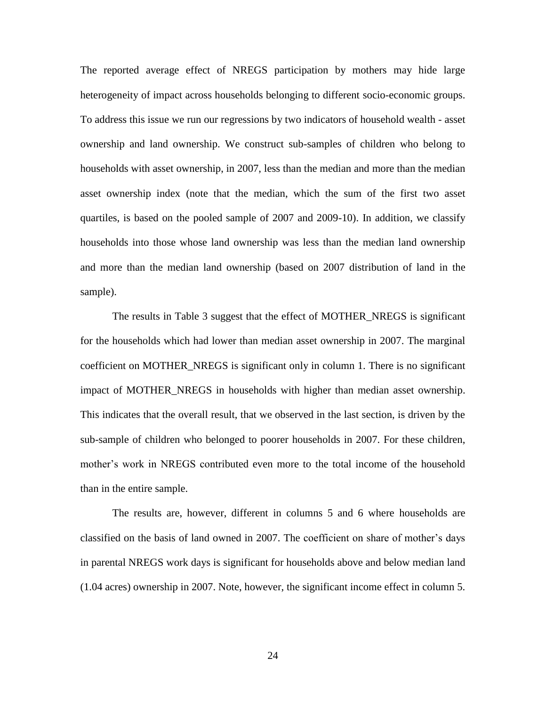The reported average effect of NREGS participation by mothers may hide large heterogeneity of impact across households belonging to different socio-economic groups. To address this issue we run our regressions by two indicators of household wealth - asset ownership and land ownership. We construct sub-samples of children who belong to households with asset ownership, in 2007, less than the median and more than the median asset ownership index (note that the median, which the sum of the first two asset quartiles, is based on the pooled sample of 2007 and 2009-10). In addition, we classify households into those whose land ownership was less than the median land ownership and more than the median land ownership (based on 2007 distribution of land in the sample).

The results in Table 3 suggest that the effect of MOTHER\_NREGS is significant for the households which had lower than median asset ownership in 2007. The marginal coefficient on MOTHER\_NREGS is significant only in column 1. There is no significant impact of MOTHER\_NREGS in households with higher than median asset ownership. This indicates that the overall result, that we observed in the last section, is driven by the sub-sample of children who belonged to poorer households in 2007. For these children, mother"s work in NREGS contributed even more to the total income of the household than in the entire sample.

The results are, however, different in columns 5 and 6 where households are classified on the basis of land owned in 2007. The coefficient on share of mother"s days in parental NREGS work days is significant for households above and below median land (1.04 acres) ownership in 2007. Note, however, the significant income effect in column 5.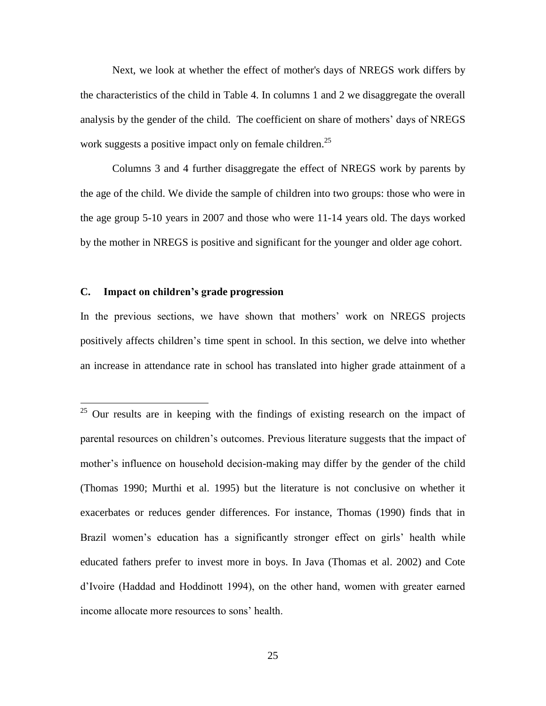Next, we look at whether the effect of mother's days of NREGS work differs by the characteristics of the child in Table 4. In columns 1 and 2 we disaggregate the overall analysis by the gender of the child. The coefficient on share of mothers" days of NREGS work suggests a positive impact only on female children.<sup>25</sup>

Columns 3 and 4 further disaggregate the effect of NREGS work by parents by the age of the child. We divide the sample of children into two groups: those who were in the age group 5-10 years in 2007 and those who were 11-14 years old. The days worked by the mother in NREGS is positive and significant for the younger and older age cohort.

### **C. Impact on children's grade progression**

 $\overline{a}$ 

In the previous sections, we have shown that mothers' work on NREGS projects positively affects children"s time spent in school. In this section, we delve into whether an increase in attendance rate in school has translated into higher grade attainment of a

 $25$  Our results are in keeping with the findings of existing research on the impact of parental resources on children"s outcomes. Previous literature suggests that the impact of mother's influence on household decision-making may differ by the gender of the child (Thomas 1990; Murthi et al. 1995) but the literature is not conclusive on whether it exacerbates or reduces gender differences. For instance, Thomas (1990) finds that in Brazil women's education has a significantly stronger effect on girls' health while educated fathers prefer to invest more in boys. In Java (Thomas et al. 2002) and Cote d"Ivoire (Haddad and Hoddinott 1994), on the other hand, women with greater earned income allocate more resources to sons" health.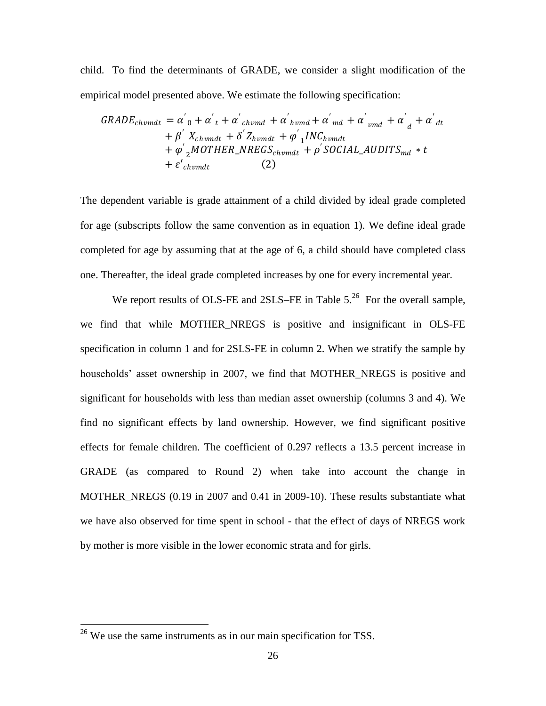child. To find the determinants of GRADE, we consider a slight modification of the empirical model presented above. We estimate the following specification:

$$
GRADE_{chvmdt} = \alpha'_{0} + \alpha'_{t} + \alpha'_{chvmd} + \alpha'_{hvmd} + \alpha'_{md} + \alpha'_{vmd} + \alpha'_{d} + \alpha'_{d} + \alpha'_{d} + \beta'_{chvmdt} + \delta'_{chvmdt} + \varphi'_{1}INC_{hvmdt}
$$

$$
+ \varphi'_{2} MOTHER\_NREGS_{chvmdt} + \rho' SOCIAL\_AUDITS_{md} * t
$$

$$
+ \varepsilon'_{chvmdt}
$$
 (2)

The dependent variable is grade attainment of a child divided by ideal grade completed for age (subscripts follow the same convention as in equation 1). We define ideal grade completed for age by assuming that at the age of 6, a child should have completed class one. Thereafter, the ideal grade completed increases by one for every incremental year.

We report results of OLS-FE and 2SLS–FE in Table  $5.^{26}$  For the overall sample, we find that while MOTHER\_NREGS is positive and insignificant in OLS-FE specification in column 1 and for 2SLS-FE in column 2. When we stratify the sample by households' asset ownership in 2007, we find that MOTHER NREGS is positive and significant for households with less than median asset ownership (columns 3 and 4). We find no significant effects by land ownership. However, we find significant positive effects for female children. The coefficient of 0.297 reflects a 13.5 percent increase in GRADE (as compared to Round 2) when take into account the change in MOTHER\_NREGS (0.19 in 2007 and 0.41 in 2009-10). These results substantiate what we have also observed for time spent in school - that the effect of days of NREGS work by mother is more visible in the lower economic strata and for girls.

 $26$  We use the same instruments as in our main specification for TSS.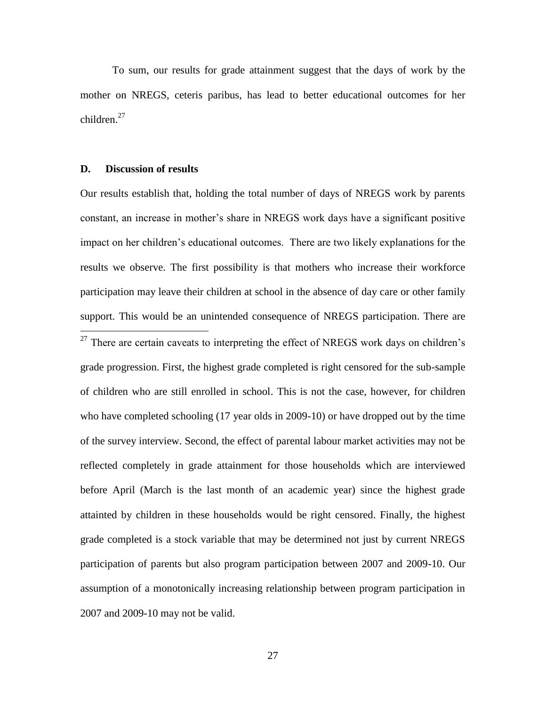To sum, our results for grade attainment suggest that the days of work by the mother on NREGS, ceteris paribus, has lead to better educational outcomes for her children. $27$ 

#### **D. Discussion of results**

 $\overline{a}$ 

Our results establish that, holding the total number of days of NREGS work by parents constant, an increase in mother's share in NREGS work days have a significant positive impact on her children"s educational outcomes. There are two likely explanations for the results we observe. The first possibility is that mothers who increase their workforce participation may leave their children at school in the absence of day care or other family support. This would be an unintended consequence of NREGS participation. There are

 $27$  There are certain caveats to interpreting the effect of NREGS work days on children's grade progression. First, the highest grade completed is right censored for the sub-sample of children who are still enrolled in school. This is not the case, however, for children who have completed schooling (17 year olds in 2009-10) or have dropped out by the time of the survey interview. Second, the effect of parental labour market activities may not be reflected completely in grade attainment for those households which are interviewed before April (March is the last month of an academic year) since the highest grade attainted by children in these households would be right censored. Finally, the highest grade completed is a stock variable that may be determined not just by current NREGS participation of parents but also program participation between 2007 and 2009-10. Our assumption of a monotonically increasing relationship between program participation in 2007 and 2009-10 may not be valid.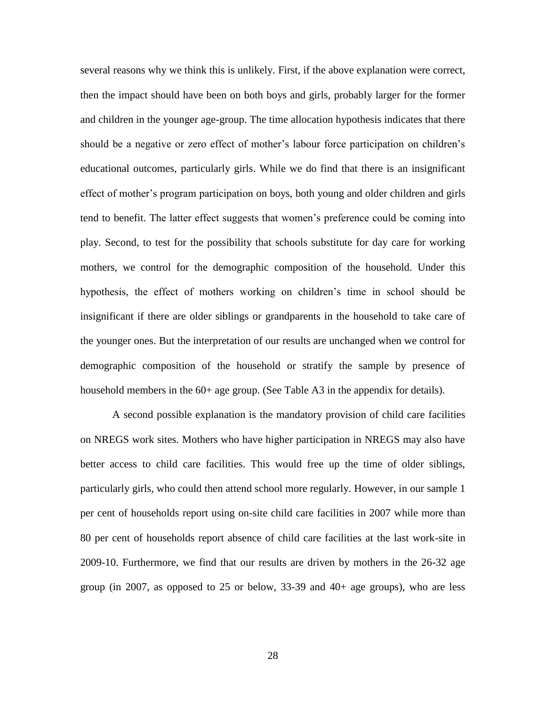several reasons why we think this is unlikely. First, if the above explanation were correct, then the impact should have been on both boys and girls, probably larger for the former and children in the younger age-group. The time allocation hypothesis indicates that there should be a negative or zero effect of mother's labour force participation on children's educational outcomes, particularly girls. While we do find that there is an insignificant effect of mother"s program participation on boys, both young and older children and girls tend to benefit. The latter effect suggests that women"s preference could be coming into play. Second, to test for the possibility that schools substitute for day care for working mothers, we control for the demographic composition of the household. Under this hypothesis, the effect of mothers working on children"s time in school should be insignificant if there are older siblings or grandparents in the household to take care of the younger ones. But the interpretation of our results are unchanged when we control for demographic composition of the household or stratify the sample by presence of household members in the 60+ age group. (See Table A3 in the appendix for details).

A second possible explanation is the mandatory provision of child care facilities on NREGS work sites. Mothers who have higher participation in NREGS may also have better access to child care facilities. This would free up the time of older siblings, particularly girls, who could then attend school more regularly. However, in our sample 1 per cent of households report using on-site child care facilities in 2007 while more than 80 per cent of households report absence of child care facilities at the last work-site in 2009-10. Furthermore, we find that our results are driven by mothers in the 26-32 age group (in 2007, as opposed to 25 or below, 33-39 and 40+ age groups), who are less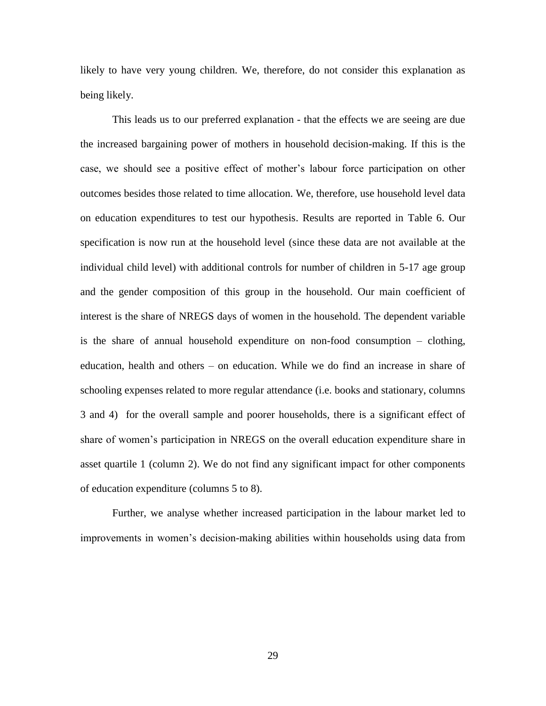likely to have very young children. We, therefore, do not consider this explanation as being likely.

This leads us to our preferred explanation - that the effects we are seeing are due the increased bargaining power of mothers in household decision-making. If this is the case, we should see a positive effect of mother"s labour force participation on other outcomes besides those related to time allocation. We, therefore, use household level data on education expenditures to test our hypothesis. Results are reported in Table 6. Our specification is now run at the household level (since these data are not available at the individual child level) with additional controls for number of children in 5-17 age group and the gender composition of this group in the household. Our main coefficient of interest is the share of NREGS days of women in the household. The dependent variable is the share of annual household expenditure on non-food consumption – clothing, education, health and others – on education. While we do find an increase in share of schooling expenses related to more regular attendance (i.e. books and stationary, columns 3 and 4) for the overall sample and poorer households, there is a significant effect of share of women"s participation in NREGS on the overall education expenditure share in asset quartile 1 (column 2). We do not find any significant impact for other components of education expenditure (columns 5 to 8).

Further, we analyse whether increased participation in the labour market led to improvements in women"s decision-making abilities within households using data from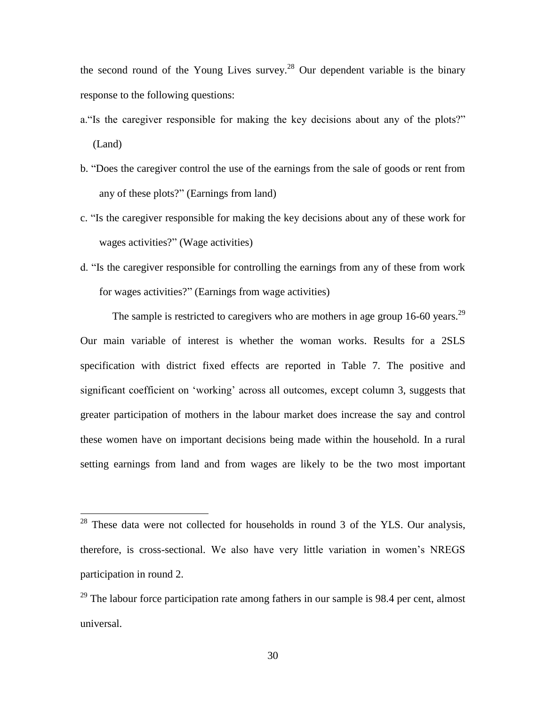the second round of the Young Lives survey.<sup>28</sup> Our dependent variable is the binary response to the following questions:

- a."Is the caregiver responsible for making the key decisions about any of the plots?" (Land)
- b. "Does the caregiver control the use of the earnings from the sale of goods or rent from any of these plots?" (Earnings from land)
- c. "Is the caregiver responsible for making the key decisions about any of these work for wages activities?" (Wage activities)
- d. "Is the caregiver responsible for controlling the earnings from any of these from work for wages activities?" (Earnings from wage activities)

The sample is restricted to caregivers who are mothers in age group 16-60 years.<sup>29</sup> Our main variable of interest is whether the woman works. Results for a 2SLS specification with district fixed effects are reported in Table 7. The positive and significant coefficient on "working" across all outcomes, except column 3, suggests that greater participation of mothers in the labour market does increase the say and control these women have on important decisions being made within the household. In a rural setting earnings from land and from wages are likely to be the two most important

 $28$  These data were not collected for households in round 3 of the YLS. Our analysis, therefore, is cross-sectional. We also have very little variation in women"s NREGS participation in round 2.

 $^{29}$  The labour force participation rate among fathers in our sample is 98.4 per cent, almost universal.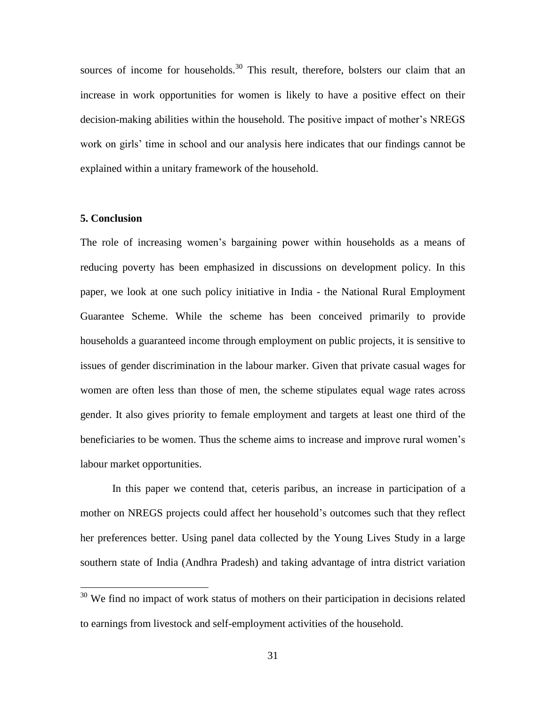sources of income for households.<sup>30</sup> This result, therefore, bolsters our claim that an increase in work opportunities for women is likely to have a positive effect on their decision-making abilities within the household. The positive impact of mother"s NREGS work on girls" time in school and our analysis here indicates that our findings cannot be explained within a unitary framework of the household.

### **5. Conclusion**

 $\overline{a}$ 

The role of increasing women"s bargaining power within households as a means of reducing poverty has been emphasized in discussions on development policy. In this paper, we look at one such policy initiative in India - the National Rural Employment Guarantee Scheme. While the scheme has been conceived primarily to provide households a guaranteed income through employment on public projects, it is sensitive to issues of gender discrimination in the labour marker. Given that private casual wages for women are often less than those of men, the scheme stipulates equal wage rates across gender. It also gives priority to female employment and targets at least one third of the beneficiaries to be women. Thus the scheme aims to increase and improve rural women"s labour market opportunities.

In this paper we contend that, ceteris paribus, an increase in participation of a mother on NREGS projects could affect her household"s outcomes such that they reflect her preferences better. Using panel data collected by the Young Lives Study in a large southern state of India (Andhra Pradesh) and taking advantage of intra district variation

 $30$  We find no impact of work status of mothers on their participation in decisions related to earnings from livestock and self-employment activities of the household.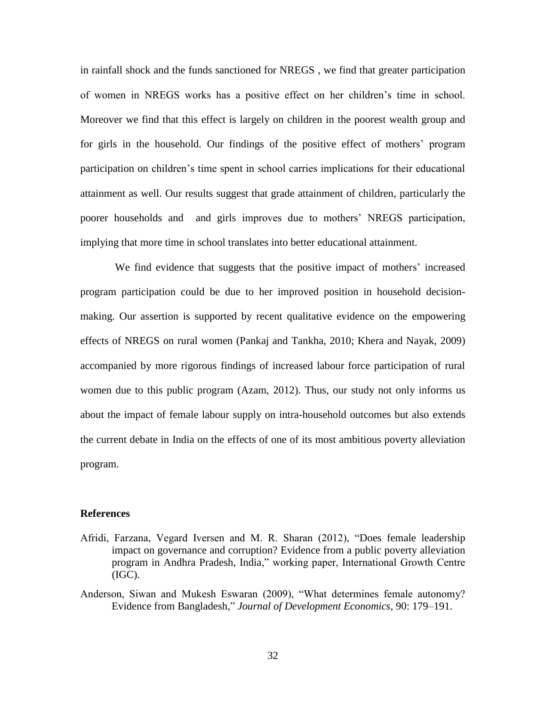in rainfall shock and the funds sanctioned for NREGS , we find that greater participation of women in NREGS works has a positive effect on her children"s time in school. Moreover we find that this effect is largely on children in the poorest wealth group and for girls in the household. Our findings of the positive effect of mothers" program participation on children"s time spent in school carries implications for their educational attainment as well. Our results suggest that grade attainment of children, particularly the poorer households and and girls improves due to mothers" NREGS participation, implying that more time in school translates into better educational attainment.

We find evidence that suggests that the positive impact of mothers' increased program participation could be due to her improved position in household decisionmaking. Our assertion is supported by recent qualitative evidence on the empowering effects of NREGS on rural women (Pankaj and Tankha, 2010; Khera and Nayak, 2009) accompanied by more rigorous findings of increased labour force participation of rural women due to this public program (Azam, 2012). Thus, our study not only informs us about the impact of female labour supply on intra-household outcomes but also extends the current debate in India on the effects of one of its most ambitious poverty alleviation program.

#### **References**

- Afridi, Farzana, Vegard Iversen and M. R. Sharan (2012), "Does female leadership impact on governance and corruption? Evidence from a public poverty alleviation program in Andhra Pradesh, India," working paper, International Growth Centre (IGC).
- Anderson, Siwan and Mukesh Eswaran (2009), "What determines female autonomy? Evidence from Bangladesh," *Journal of Development Economics*, 90: 179–191.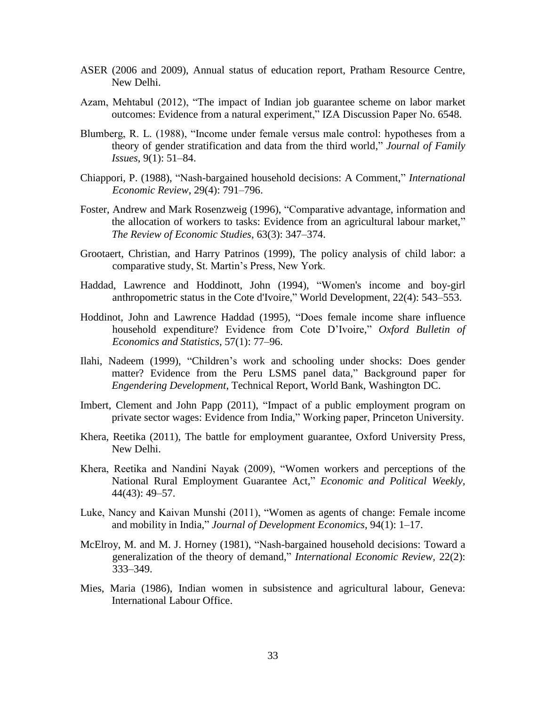- ASER (2006 and 2009), Annual status of education report, Pratham Resource Centre, New Delhi.
- Azam, Mehtabul (2012), "The impact of Indian job guarantee scheme on labor market outcomes: Evidence from a natural experiment," IZA Discussion Paper No. 6548.
- Blumberg, R. L. (1988), "Income under female versus male control: hypotheses from a theory of gender stratification and data from the third world," *Journal of Family Issues*, 9(1): 51–84.
- Chiappori, P. (1988), "Nash-bargained household decisions: A Comment," *International Economic Review*, 29(4): 791–796.
- Foster, Andrew and Mark Rosenzweig (1996), "Comparative advantage, information and the allocation of workers to tasks: Evidence from an agricultural labour market," *The Review of Economic Studies*, 63(3): 347–374.
- Grootaert, Christian, and Harry Patrinos (1999), The policy analysis of child labor: a comparative study, St. Martin"s Press, New York.
- Haddad, Lawrence and Hoddinott, John (1994), "Women's income and boy-girl anthropometric status in the Cote d'Ivoire," World Development, 22(4): 543–553.
- Hoddinot, John and Lawrence Haddad (1995), "Does female income share influence household expenditure? Evidence from Cote D"Ivoire," *Oxford Bulletin of Economics and Statistics*, 57(1): 77–96.
- Ilahi, Nadeem (1999), "Children"s work and schooling under shocks: Does gender matter? Evidence from the Peru LSMS panel data," Background paper for *Engendering Development*, Technical Report, World Bank, Washington DC.
- Imbert, Clement and John Papp (2011), "Impact of a public employment program on private sector wages: Evidence from India," Working paper, Princeton University.
- Khera, Reetika (2011), The battle for employment guarantee, Oxford University Press, New Delhi.
- Khera, Reetika and Nandini Nayak (2009), "Women workers and perceptions of the National Rural Employment Guarantee Act," *Economic and Political Weekly,*  44(43): 49–57.
- Luke, Nancy and Kaivan Munshi (2011), "Women as agents of change: Female income and mobility in India," *Journal of Development Economics*, 94(1): 1–17.
- McElroy, M. and M. J. Horney (1981), "Nash-bargained household decisions: Toward a generalization of the theory of demand," *International Economic Review,* 22(2): 333–349.
- Mies, Maria (1986), Indian women in subsistence and agricultural labour, Geneva: International Labour Office.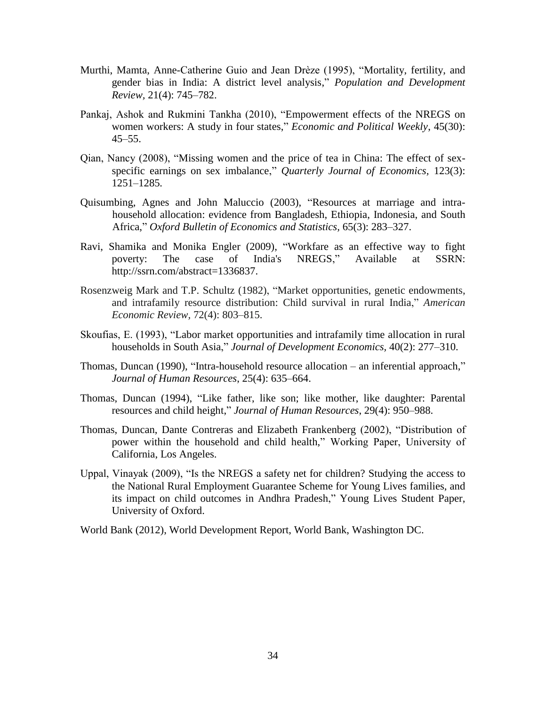- Murthi, Mamta, Anne-Catherine Guio and Jean Drèze (1995), "Mortality, fertility, and gender bias in India: A district level analysis," *Population and Development Review,* 21(4): 745–782.
- Pankaj, Ashok and Rukmini Tankha (2010), "Empowerment effects of the NREGS on women workers: A study in four states," *Economic and Political Weekly*, 45(30):  $45 - 55$ .
- Qian, Nancy (2008), "Missing women and the price of tea in China: The effect of sexspecific earnings on sex imbalance," *Quarterly Journal of Economics,* 123(3): 1251–1285*.*
- Quisumbing, Agnes and John Maluccio (2003), "Resources at marriage and intrahousehold allocation: evidence from Bangladesh, Ethiopia, Indonesia, and South Africa," *Oxford Bulletin of Economics and Statistics,* 65(3): 283–327.
- Ravi, Shamika and Monika Engler (2009), "Workfare as an effective way to fight poverty: The case of India's NREGS," Available at SSRN: [http://ssrn.com/abstract=1336837.](http://ssrn.com/abstract=1336837)
- Rosenzweig Mark and T.P. Schultz (1982), "Market opportunities, genetic endowments, and intrafamily resource distribution: Child survival in rural India," *American Economic Review,* 72(4): 803–815.
- Skoufias, E. (1993), "Labor market opportunities and intrafamily time allocation in rural households in South Asia," *Journal of Development Economics,* 40(2): 277–310.
- Thomas, Duncan (1990), "Intra-household resource allocation an inferential approach," *Journal of Human Resources*, 25(4): 635–664.
- Thomas, Duncan (1994), "Like father, like son; like mother, like daughter: Parental resources and child height," *Journal of Human Resources*, 29(4): 950–988.
- Thomas, Duncan, Dante Contreras and Elizabeth Frankenberg (2002), "Distribution of power within the household and child health," Working Paper, University of California, Los Angeles.
- Uppal, Vinayak (2009), "Is the NREGS a safety net for children? Studying the access to the National Rural Employment Guarantee Scheme for Young Lives families, and its impact on child outcomes in Andhra Pradesh," Young Lives Student Paper, University of Oxford.
- World Bank (2012), World Development Report, World Bank, Washington DC.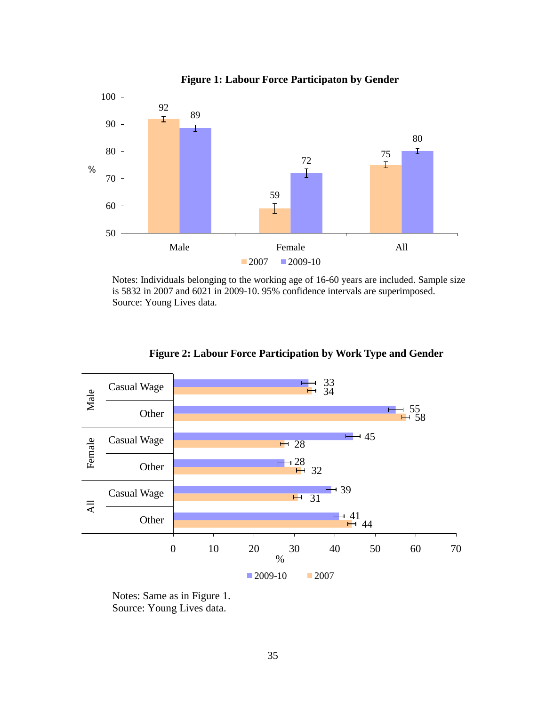

Notes: Individuals belonging to the working age of 16-60 years are included. Sample size is 5832 in 2007 and 6021 in 2009-10. 95% confidence intervals are superimposed. Source: Young Lives data.



**Figure 2: Labour Force Participation by Work Type and Gender**

Notes: Same as in Figure 1. Source: Young Lives data.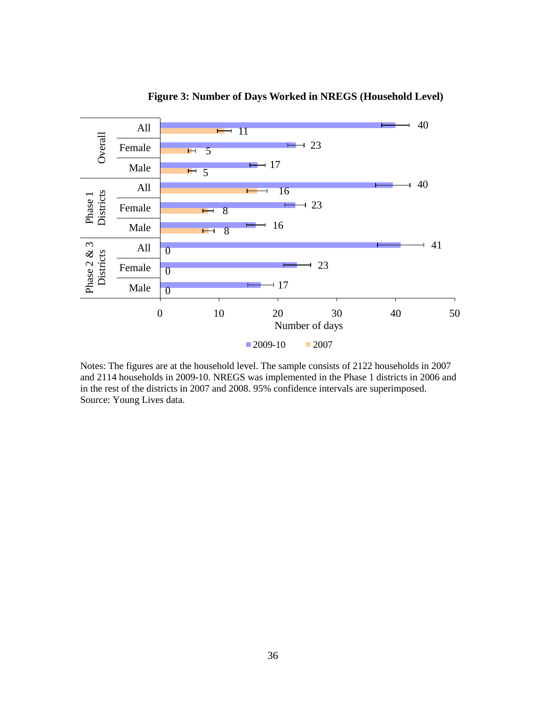

**Figure 3: Number of Days Worked in NREGS (Household Level)**

Notes: The figures are at the household level. The sample consists of 2122 households in 2007 and 2114 households in 2009-10. NREGS was implemented in the Phase 1 districts in 2006 and in the rest of the districts in 2007 and 2008. 95% confidence intervals are superimposed. Source: Young Lives data.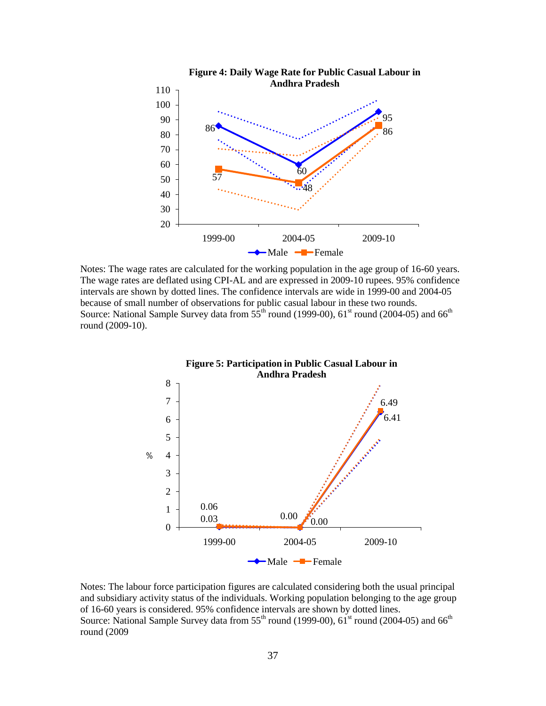

Notes: The wage rates are calculated for the working population in the age group of 16-60 years. The wage rates are deflated using CPI-AL and are expressed in 2009-10 rupees. 95% confidence intervals are shown by dotted lines. The confidence intervals are wide in 1999-00 and 2004-05 because of small number of observations for public casual labour in these two rounds. Source: National Sample Survey data from  $5\overline{5}^{th}$  round (1999-00), 61<sup>st</sup> round (2004-05) and 66<sup>th</sup> round (2009-10).



Notes: The labour force participation figures are calculated considering both the usual principal and subsidiary activity status of the individuals. Working population belonging to the age group of 16-60 years is considered. 95% confidence intervals are shown by dotted lines. Source: National Sample Survey data from  $55<sup>th</sup>$  round (1999-00),  $61<sup>st</sup>$  round (2004-05) and  $66<sup>th</sup>$ round (2009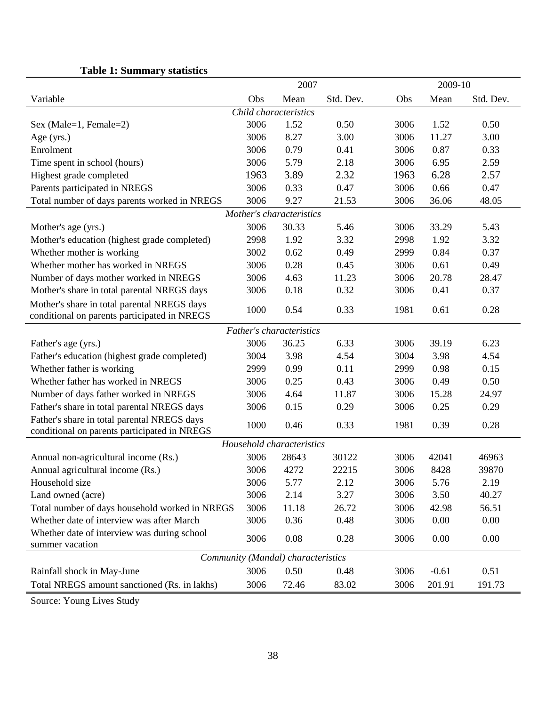|                                                | 2007 |                                    |           |      | 2009-10 |           |  |
|------------------------------------------------|------|------------------------------------|-----------|------|---------|-----------|--|
| Variable                                       | Obs  | Mean                               | Std. Dev. | Obs  | Mean    | Std. Dev. |  |
|                                                |      | Child characteristics              |           |      |         |           |  |
| Sex (Male=1, Female=2)                         | 3006 | 1.52                               | 0.50      | 3006 | 1.52    | 0.50      |  |
| Age (yrs.)                                     | 3006 | 8.27                               | 3.00      | 3006 | 11.27   | 3.00      |  |
| Enrolment                                      | 3006 | 0.79                               | 0.41      | 3006 | 0.87    | 0.33      |  |
| Time spent in school (hours)                   | 3006 | 5.79                               | 2.18      | 3006 | 6.95    | 2.59      |  |
| Highest grade completed                        | 1963 | 3.89                               | 2.32      | 1963 | 6.28    | 2.57      |  |
| Parents participated in NREGS                  | 3006 | 0.33                               | 0.47      | 3006 | 0.66    | 0.47      |  |
| Total number of days parents worked in NREGS   | 3006 | 9.27                               | 21.53     | 3006 | 36.06   | 48.05     |  |
|                                                |      | Mother's characteristics           |           |      |         |           |  |
| Mother's age (yrs.)                            | 3006 | 30.33                              | 5.46      | 3006 | 33.29   | 5.43      |  |
| Mother's education (highest grade completed)   | 2998 | 1.92                               | 3.32      | 2998 | 1.92    | 3.32      |  |
| Whether mother is working                      | 3002 | 0.62                               | 0.49      | 2999 | 0.84    | 0.37      |  |
| Whether mother has worked in NREGS             | 3006 | 0.28                               | 0.45      | 3006 | 0.61    | 0.49      |  |
| Number of days mother worked in NREGS          | 3006 | 4.63                               | 11.23     | 3006 | 20.78   | 28.47     |  |
| Mother's share in total parental NREGS days    | 3006 | 0.18                               | 0.32      | 3006 | 0.41    | 0.37      |  |
| Mother's share in total parental NREGS days    | 1000 | 0.54                               | 0.33      | 1981 | 0.61    | 0.28      |  |
| conditional on parents participated in NREGS   |      |                                    |           |      |         |           |  |
|                                                |      | Father's characteristics           |           |      |         |           |  |
| Father's age (yrs.)                            | 3006 | 36.25                              | 6.33      | 3006 | 39.19   | 6.23      |  |
| Father's education (highest grade completed)   | 3004 | 3.98                               | 4.54      | 3004 | 3.98    | 4.54      |  |
| Whether father is working                      | 2999 | 0.99                               | 0.11      | 2999 | 0.98    | 0.15      |  |
| Whether father has worked in NREGS             | 3006 | 0.25                               | 0.43      | 3006 | 0.49    | 0.50      |  |
| Number of days father worked in NREGS          | 3006 | 4.64                               | 11.87     | 3006 | 15.28   | 24.97     |  |
| Father's share in total parental NREGS days    | 3006 | 0.15                               | 0.29      | 3006 | 0.25    | 0.29      |  |
| Father's share in total parental NREGS days    | 1000 | 0.46                               | 0.33      | 1981 | 0.39    | 0.28      |  |
| conditional on parents participated in NREGS   |      |                                    |           |      |         |           |  |
|                                                |      | Household characteristics          |           |      |         |           |  |
| Annual non-agricultural income (Rs.)           | 3006 | 28643                              | 30122     | 3006 | 42041   | 46963     |  |
| Annual agricultural income (Rs.)               | 3006 | 4272                               | 22215     | 3006 | 8428    | 39870     |  |
| Household size                                 | 3006 | 5.77                               | 2.12      | 3006 | 5.76    | 2.19      |  |
| Land owned (acre)                              | 3006 | 2.14                               | 3.27      | 3006 | 3.50    | 40.27     |  |
| Total number of days household worked in NREGS | 3006 | 11.18                              | 26.72     | 3006 | 42.98   | 56.51     |  |
| Whether date of interview was after March      | 3006 | 0.36                               | 0.48      | 3006 | 0.00    | 0.00      |  |
| Whether date of interview was during school    | 3006 | 0.08                               | 0.28      | 3006 | 0.00    | 0.00      |  |
| summer vacation                                |      |                                    |           |      |         |           |  |
|                                                |      | Community (Mandal) characteristics |           |      |         |           |  |
| Rainfall shock in May-June                     | 3006 | 0.50                               | 0.48      | 3006 | $-0.61$ | 0.51      |  |
| Total NREGS amount sanctioned (Rs. in lakhs)   | 3006 | 72.46                              | 83.02     | 3006 | 201.91  | 191.73    |  |

# **Table 1: Summary statistics**

Source: Young Lives Study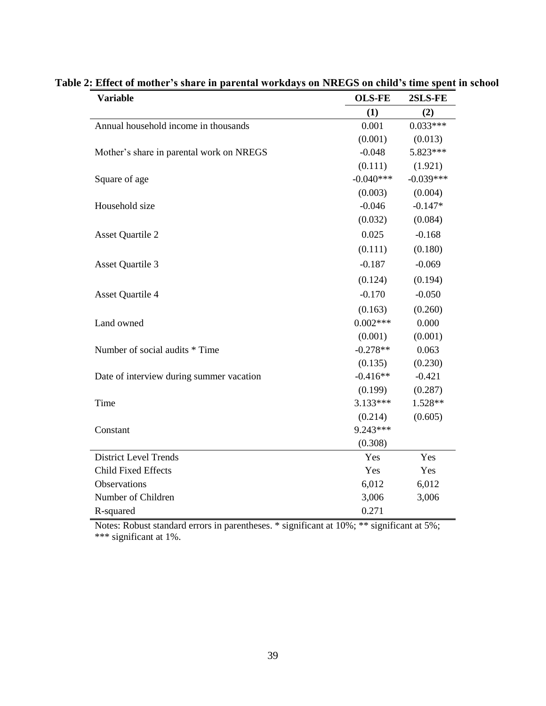| <b>Variable</b>                          | <b>OLS-FE</b> | 2SLS-FE     |
|------------------------------------------|---------------|-------------|
|                                          | (1)           | (2)         |
| Annual household income in thousands     | 0.001         | $0.033***$  |
|                                          | (0.001)       | (0.013)     |
| Mother's share in parental work on NREGS | $-0.048$      | 5.823***    |
|                                          | (0.111)       | (1.921)     |
| Square of age                            | $-0.040***$   | $-0.039***$ |
|                                          | (0.003)       | (0.004)     |
| Household size                           | $-0.046$      | $-0.147*$   |
|                                          | (0.032)       | (0.084)     |
| <b>Asset Quartile 2</b>                  | 0.025         | $-0.168$    |
|                                          | (0.111)       | (0.180)     |
| <b>Asset Quartile 3</b>                  | $-0.187$      | $-0.069$    |
|                                          | (0.124)       | (0.194)     |
| <b>Asset Quartile 4</b>                  | $-0.170$      | $-0.050$    |
|                                          | (0.163)       | (0.260)     |
| Land owned                               | $0.002***$    | 0.000       |
|                                          | (0.001)       | (0.001)     |
| Number of social audits * Time           | $-0.278**$    | 0.063       |
|                                          | (0.135)       | (0.230)     |
| Date of interview during summer vacation | $-0.416**$    | $-0.421$    |
|                                          | (0.199)       | (0.287)     |
| Time                                     | $3.133***$    | 1.528**     |
|                                          | (0.214)       | (0.605)     |
| Constant                                 | 9.243***      |             |
|                                          | (0.308)       |             |
| <b>District Level Trends</b>             | Yes           | Yes         |
| <b>Child Fixed Effects</b>               | Yes           | Yes         |
| Observations                             | 6,012         | 6,012       |
| Number of Children                       | 3,006         | 3,006       |
| R-squared                                | 0.271         |             |

|  |  |  |  |  | Table 2: Effect of mother's share in parental workdays on NREGS on child's time spent in school |  |  |  |  |  |
|--|--|--|--|--|-------------------------------------------------------------------------------------------------|--|--|--|--|--|
|--|--|--|--|--|-------------------------------------------------------------------------------------------------|--|--|--|--|--|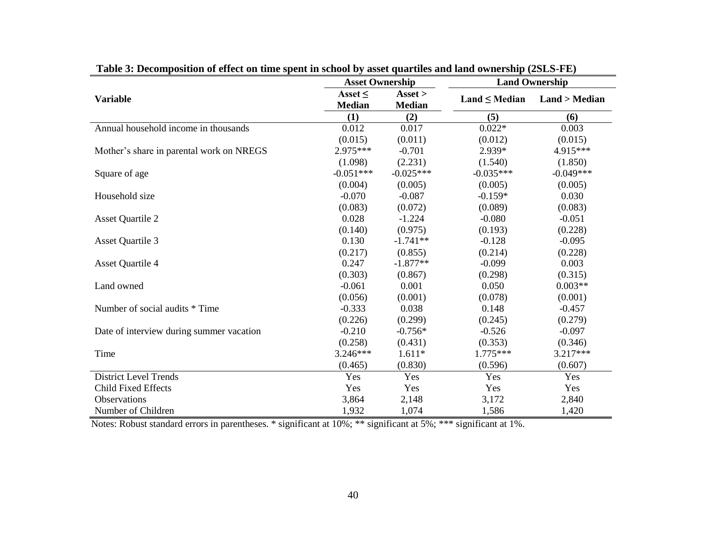| able of Decomposition of effect on third spent in senoor by asset quartites and hand ownership (solid TD) | <b>Asset Ownership</b>        |                                                 | <b>Land Ownership</b> |               |  |
|-----------------------------------------------------------------------------------------------------------|-------------------------------|-------------------------------------------------|-----------------------|---------------|--|
| <b>Variable</b>                                                                                           | Asset $\leq$<br><b>Median</b> | $\text{A} \text{s} \text{set}$<br><b>Median</b> | $Land \leq Median$    | Land > Median |  |
|                                                                                                           | (1)                           | (2)                                             | (5)                   | (6)           |  |
| Annual household income in thousands                                                                      | 0.012                         | 0.017                                           | $0.022*$              | 0.003         |  |
|                                                                                                           | (0.015)                       | (0.011)                                         | (0.012)               | (0.015)       |  |
| Mother's share in parental work on NREGS                                                                  | $2.975***$                    | $-0.701$                                        | 2.939*                | 4.915***      |  |
|                                                                                                           | (1.098)                       | (2.231)                                         | (1.540)               | (1.850)       |  |
| Square of age                                                                                             | $-0.051***$                   | $-0.025***$                                     | $-0.035***$           | $-0.049***$   |  |
|                                                                                                           | (0.004)                       | (0.005)                                         | (0.005)               | (0.005)       |  |
| Household size                                                                                            | $-0.070$                      | $-0.087$                                        | $-0.159*$             | 0.030         |  |
|                                                                                                           | (0.083)                       | (0.072)                                         | (0.089)               | (0.083)       |  |
| <b>Asset Quartile 2</b>                                                                                   | 0.028                         | $-1.224$                                        | $-0.080$              | $-0.051$      |  |
|                                                                                                           | (0.140)                       | (0.975)                                         | (0.193)               | (0.228)       |  |
| <b>Asset Quartile 3</b>                                                                                   | 0.130                         | $-1.741**$                                      | $-0.128$              | $-0.095$      |  |
|                                                                                                           | (0.217)                       | (0.855)                                         | (0.214)               | (0.228)       |  |
| <b>Asset Quartile 4</b>                                                                                   | 0.247                         | $-1.877**$                                      | $-0.099$              | 0.003         |  |
|                                                                                                           | (0.303)                       | (0.867)                                         | (0.298)               | (0.315)       |  |
| Land owned                                                                                                | $-0.061$                      | 0.001                                           | 0.050                 | $0.003**$     |  |
|                                                                                                           | (0.056)                       | (0.001)                                         | (0.078)               | (0.001)       |  |
| Number of social audits * Time                                                                            | $-0.333$                      | 0.038                                           | 0.148                 | $-0.457$      |  |
|                                                                                                           | (0.226)                       | (0.299)                                         | (0.245)               | (0.279)       |  |
| Date of interview during summer vacation                                                                  | $-0.210$                      | $-0.756*$                                       | $-0.526$              | $-0.097$      |  |
|                                                                                                           | (0.258)                       | (0.431)                                         | (0.353)               | (0.346)       |  |
| Time                                                                                                      | $3.246***$                    | $1.611*$                                        | 1.775***              | 3.217***      |  |
|                                                                                                           | (0.465)                       | (0.830)                                         | (0.596)               | (0.607)       |  |
| <b>District Level Trends</b>                                                                              | Yes                           | Yes                                             | Yes                   | Yes           |  |
| <b>Child Fixed Effects</b>                                                                                | Yes                           | Yes                                             | Yes                   | Yes           |  |
| Observations                                                                                              | 3,864                         | 2,148                                           | 3,172                 | 2,840         |  |
| Number of Children                                                                                        | 1,932                         | 1,074                                           | 1,586                 | 1,420         |  |

**Table 3: Decomposition of effect on time spent in school by asset quartiles and land ownership (2SLS-FE)**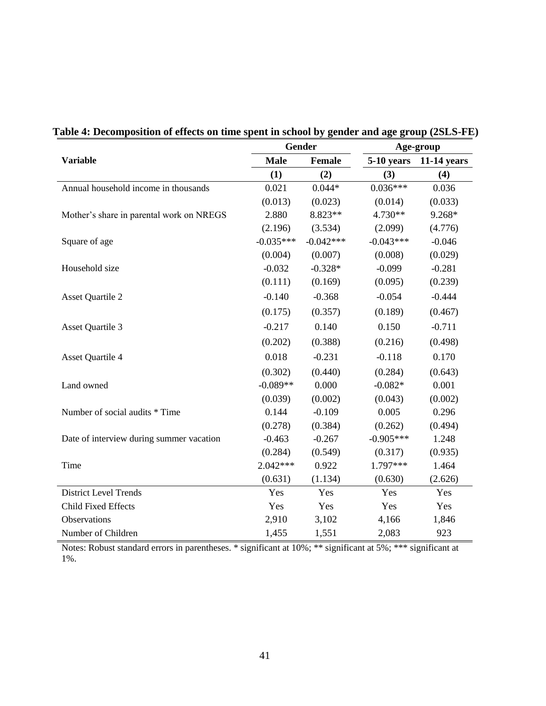|                                          |             | <b>Gender</b> | Age-group   |               |  |  |
|------------------------------------------|-------------|---------------|-------------|---------------|--|--|
| <b>Variable</b>                          | <b>Male</b> | Female        | 5-10 years  | $11-14$ years |  |  |
|                                          | (1)         | (2)           | (3)         | (4)           |  |  |
| Annual household income in thousands     | 0.021       | $0.044*$      | $0.036***$  | 0.036         |  |  |
|                                          | (0.013)     | (0.023)       | (0.014)     | (0.033)       |  |  |
| Mother's share in parental work on NREGS | 2.880       | 8.823**       | 4.730**     | 9.268*        |  |  |
|                                          | (2.196)     | (3.534)       | (2.099)     | (4.776)       |  |  |
| Square of age                            | $-0.035***$ | $-0.042***$   | $-0.043***$ | $-0.046$      |  |  |
|                                          | (0.004)     | (0.007)       | (0.008)     | (0.029)       |  |  |
| Household size                           | $-0.032$    | $-0.328*$     | $-0.099$    | $-0.281$      |  |  |
|                                          | (0.111)     | (0.169)       | (0.095)     | (0.239)       |  |  |
| <b>Asset Quartile 2</b>                  | $-0.140$    | $-0.368$      | $-0.054$    | $-0.444$      |  |  |
|                                          | (0.175)     | (0.357)       | (0.189)     | (0.467)       |  |  |
| <b>Asset Quartile 3</b>                  | $-0.217$    | 0.140         | 0.150       | $-0.711$      |  |  |
|                                          | (0.202)     | (0.388)       | (0.216)     | (0.498)       |  |  |
| <b>Asset Quartile 4</b>                  | 0.018       | $-0.231$      | $-0.118$    | 0.170         |  |  |
|                                          | (0.302)     | (0.440)       | (0.284)     | (0.643)       |  |  |
| Land owned                               | $-0.089**$  | 0.000         | $-0.082*$   | 0.001         |  |  |
|                                          | (0.039)     | (0.002)       | (0.043)     | (0.002)       |  |  |
| Number of social audits * Time           | 0.144       | $-0.109$      | 0.005       | 0.296         |  |  |
|                                          | (0.278)     | (0.384)       | (0.262)     | (0.494)       |  |  |
| Date of interview during summer vacation | $-0.463$    | $-0.267$      | $-0.905***$ | 1.248         |  |  |
|                                          | (0.284)     | (0.549)       | (0.317)     | (0.935)       |  |  |
| Time                                     | $2.042***$  | 0.922         | 1.797***    | 1.464         |  |  |
|                                          | (0.631)     | (1.134)       | (0.630)     | (2.626)       |  |  |
| <b>District Level Trends</b>             | Yes         | Yes           | Yes         | Yes           |  |  |
| <b>Child Fixed Effects</b>               | Yes         | Yes           | Yes         | Yes           |  |  |
| Observations                             | 2,910       | 3,102         | 4,166       | 1,846         |  |  |
| Number of Children                       | 1,455       | 1,551         | 2,083       | 923           |  |  |

 **Table 4: Decomposition of effects on time spent in school by gender and age group (2SLS-FE)**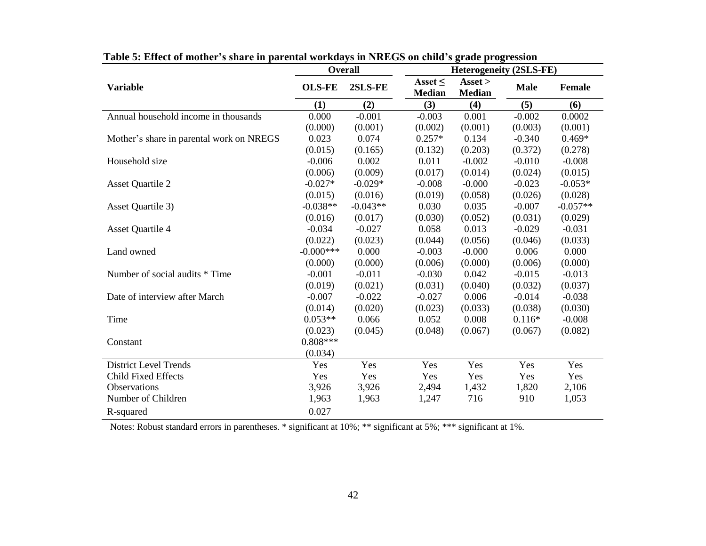|                                          | <b>Overall</b> |            | <b>Heterogeneity (2SLS-FE)</b> |                                                 |             |            |  |
|------------------------------------------|----------------|------------|--------------------------------|-------------------------------------------------|-------------|------------|--|
| <b>Variable</b>                          | <b>OLS-FE</b>  | 2SLS-FE    | Asset $\leq$<br><b>Median</b>  | $\text{A} \text{s} \text{set}$<br><b>Median</b> | <b>Male</b> | Female     |  |
|                                          | (1)            | (2)        | (3)                            | (4)                                             | (5)         | (6)        |  |
| Annual household income in thousands     | 0.000          | $-0.001$   | $-0.003$                       | 0.001                                           | $-0.002$    | 0.0002     |  |
|                                          | (0.000)        | (0.001)    | (0.002)                        | (0.001)                                         | (0.003)     | (0.001)    |  |
| Mother's share in parental work on NREGS | 0.023          | 0.074      | $0.257*$                       | 0.134                                           | $-0.340$    | $0.469*$   |  |
|                                          | (0.015)        | (0.165)    | (0.132)                        | (0.203)                                         | (0.372)     | (0.278)    |  |
| Household size                           | $-0.006$       | 0.002      | 0.011                          | $-0.002$                                        | $-0.010$    | $-0.008$   |  |
|                                          | (0.006)        | (0.009)    | (0.017)                        | (0.014)                                         | (0.024)     | (0.015)    |  |
| <b>Asset Quartile 2</b>                  | $-0.027*$      | $-0.029*$  | $-0.008$                       | $-0.000$                                        | $-0.023$    | $-0.053*$  |  |
|                                          | (0.015)        | (0.016)    | (0.019)                        | (0.058)                                         | (0.026)     | (0.028)    |  |
| Asset Quartile 3)                        | $-0.038**$     | $-0.043**$ | 0.030                          | 0.035                                           | $-0.007$    | $-0.057**$ |  |
|                                          | (0.016)        | (0.017)    | (0.030)                        | (0.052)                                         | (0.031)     | (0.029)    |  |
| <b>Asset Quartile 4</b>                  | $-0.034$       | $-0.027$   | 0.058                          | 0.013                                           | $-0.029$    | $-0.031$   |  |
|                                          | (0.022)        | (0.023)    | (0.044)                        | (0.056)                                         | (0.046)     | (0.033)    |  |
| Land owned                               | $-0.000$ ***   | 0.000      | $-0.003$                       | $-0.000$                                        | 0.006       | 0.000      |  |
|                                          | (0.000)        | (0.000)    | (0.006)                        | (0.000)                                         | (0.006)     | (0.000)    |  |
| Number of social audits * Time           | $-0.001$       | $-0.011$   | $-0.030$                       | 0.042                                           | $-0.015$    | $-0.013$   |  |
|                                          | (0.019)        | (0.021)    | (0.031)                        | (0.040)                                         | (0.032)     | (0.037)    |  |
| Date of interview after March            | $-0.007$       | $-0.022$   | $-0.027$                       | 0.006                                           | $-0.014$    | $-0.038$   |  |
|                                          | (0.014)        | (0.020)    | (0.023)                        | (0.033)                                         | (0.038)     | (0.030)    |  |
| Time                                     | $0.053**$      | 0.066      | 0.052                          | 0.008                                           | $0.116*$    | $-0.008$   |  |
|                                          | (0.023)        | (0.045)    | (0.048)                        | (0.067)                                         | (0.067)     | (0.082)    |  |
| Constant                                 | $0.808***$     |            |                                |                                                 |             |            |  |
|                                          | (0.034)        |            |                                |                                                 |             |            |  |
| <b>District Level Trends</b>             | Yes            | Yes        | Yes                            | Yes                                             | Yes         | Yes        |  |
| Child Fixed Effects                      | Yes            | Yes        | Yes                            | Yes                                             | Yes         | Yes        |  |
| Observations                             | 3,926          | 3,926      | 2,494                          | 1,432                                           | 1,820       | 2,106      |  |
| Number of Children                       | 1,963          | 1,963      | 1,247                          | 716                                             | 910         | 1,053      |  |
| R-squared                                | 0.027          |            |                                |                                                 |             |            |  |

 **Table 5: Effect of mother's share in parental workdays in NREGS on child's grade progression**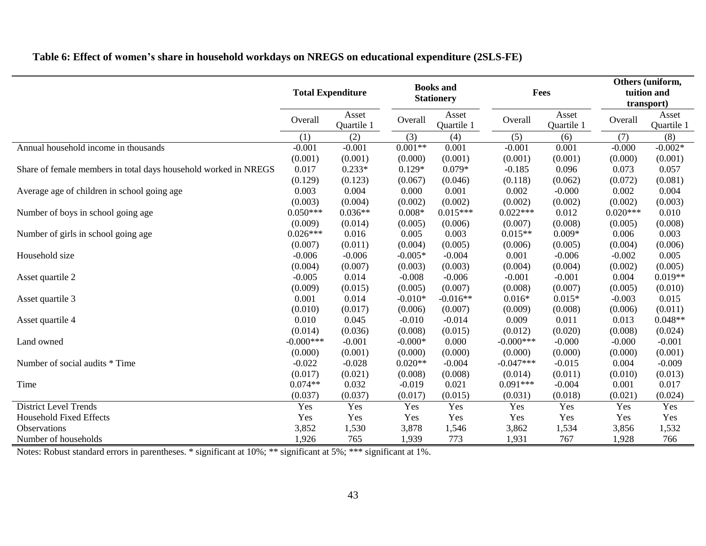|                                                                 | <b>Total Expenditure</b> |                     | <b>Books</b> and<br><b>Stationery</b> |                     | Fees         |                     |            | Others (uniform,<br>tuition and<br>transport) |
|-----------------------------------------------------------------|--------------------------|---------------------|---------------------------------------|---------------------|--------------|---------------------|------------|-----------------------------------------------|
|                                                                 | Overall                  | Asset<br>Quartile 1 | Overall                               | Asset<br>Quartile 1 | Overall      | Asset<br>Quartile 1 | Overall    | Asset<br>Quartile 1                           |
|                                                                 | (1)                      | (2)                 | (3)                                   | (4)                 | (5)          | (6)                 | (7)        | (8)                                           |
| Annual household income in thousands                            | $-0.001$                 | $-0.001$            | $0.001**$                             | 0.001               | $-0.001$     | 0.001               | $-0.000$   | $-0.002*$                                     |
|                                                                 | (0.001)                  | (0.001)             | (0.000)                               | (0.001)             | (0.001)      | (0.001)             | (0.000)    | (0.001)                                       |
| Share of female members in total days household worked in NREGS | 0.017                    | $0.233*$            | $0.129*$                              | $0.079*$            | $-0.185$     | 0.096               | 0.073      | 0.057                                         |
|                                                                 | (0.129)                  | (0.123)             | (0.067)                               | (0.046)             | (0.118)      | (0.062)             | (0.072)    | (0.081)                                       |
| Average age of children in school going age                     | 0.003                    | 0.004               | 0.000                                 | 0.001               | 0.002        | $-0.000$            | 0.002      | 0.004                                         |
|                                                                 | (0.003)                  | (0.004)             | (0.002)                               | (0.002)             | (0.002)      | (0.002)             | (0.002)    | (0.003)                                       |
| Number of boys in school going age                              | $0.050***$               | $0.036**$           | $0.008*$                              | $0.015***$          | $0.022***$   | 0.012               | $0.020***$ | 0.010                                         |
|                                                                 | (0.009)                  | (0.014)             | (0.005)                               | (0.006)             | (0.007)      | (0.008)             | (0.005)    | (0.008)                                       |
| Number of girls in school going age                             | $0.026***$               | 0.016               | 0.005                                 | 0.003               | $0.015**$    | $0.009*$            | 0.006      | 0.003                                         |
|                                                                 | (0.007)                  | (0.011)             | (0.004)                               | (0.005)             | (0.006)      | (0.005)             | (0.004)    | (0.006)                                       |
| Household size                                                  | $-0.006$                 | $-0.006$            | $-0.005*$                             | $-0.004$            | 0.001        | $-0.006$            | $-0.002$   | 0.005                                         |
|                                                                 | (0.004)                  | (0.007)             | (0.003)                               | (0.003)             | (0.004)      | (0.004)             | (0.002)    | (0.005)                                       |
| Asset quartile 2                                                | $-0.005$                 | 0.014               | $-0.008$                              | $-0.006$            | $-0.001$     | $-0.001$            | 0.004      | $0.019**$                                     |
|                                                                 | (0.009)                  | (0.015)             | (0.005)                               | (0.007)             | (0.008)      | (0.007)             | (0.005)    | (0.010)                                       |
| Asset quartile 3                                                | 0.001                    | 0.014               | $-0.010*$                             | $-0.016**$          | $0.016*$     | $0.015*$            | $-0.003$   | 0.015                                         |
|                                                                 | (0.010)                  | (0.017)             | (0.006)                               | (0.007)             | (0.009)      | (0.008)             | (0.006)    | (0.011)                                       |
| Asset quartile 4                                                | 0.010                    | 0.045               | $-0.010$                              | $-0.014$            | 0.009        | 0.011               | 0.013      | $0.048**$                                     |
|                                                                 | (0.014)                  | (0.036)             | (0.008)                               | (0.015)             | (0.012)      | (0.020)             | (0.008)    | (0.024)                                       |
| Land owned                                                      | $-0.000$ ***             | $-0.001$            | $-0.000*$                             | 0.000               | $-0.000$ *** | $-0.000$            | $-0.000$   | $-0.001$                                      |
|                                                                 | (0.000)                  | (0.001)             | (0.000)                               | (0.000)             | (0.000)      | (0.000)             | (0.000)    | (0.001)                                       |
| Number of social audits * Time                                  | $-0.022$                 | $-0.028$            | $0.020**$                             | $-0.004$            | $-0.047***$  | $-0.015$            | 0.004      | $-0.009$                                      |
|                                                                 | (0.017)                  | (0.021)             | (0.008)                               | (0.008)             | (0.014)      | (0.011)             | (0.010)    | (0.013)                                       |
| Time                                                            | $0.074**$                | 0.032               | $-0.019$                              | 0.021               | $0.091***$   | $-0.004$            | 0.001      | 0.017                                         |
|                                                                 | (0.037)                  | (0.037)             | (0.017)                               | (0.015)             | (0.031)      | (0.018)             | (0.021)    | (0.024)                                       |
| <b>District Level Trends</b>                                    | Yes                      | Yes                 | Yes                                   | Yes                 | Yes          | Yes                 | Yes        | Yes                                           |
| <b>Household Fixed Effects</b>                                  | Yes                      | Yes                 | Yes                                   | Yes                 | Yes          | Yes                 | Yes        | Yes                                           |
| Observations                                                    | 3,852                    | 1,530               | 3,878                                 | 1,546               | 3,862        | 1,534               | 3,856      | 1,532                                         |
| Number of households                                            | 1,926                    | 765                 | 1,939                                 | 773                 | 1,931        | 767                 | 1,928      | 766                                           |

## **Table 6: Effect of women's share in household workdays on NREGS on educational expenditure (2SLS-FE)**

Notes: Robust standard errors in parentheses. \* significant at 10%; \*\* significant at 5%; \*\*\* significant at 1%.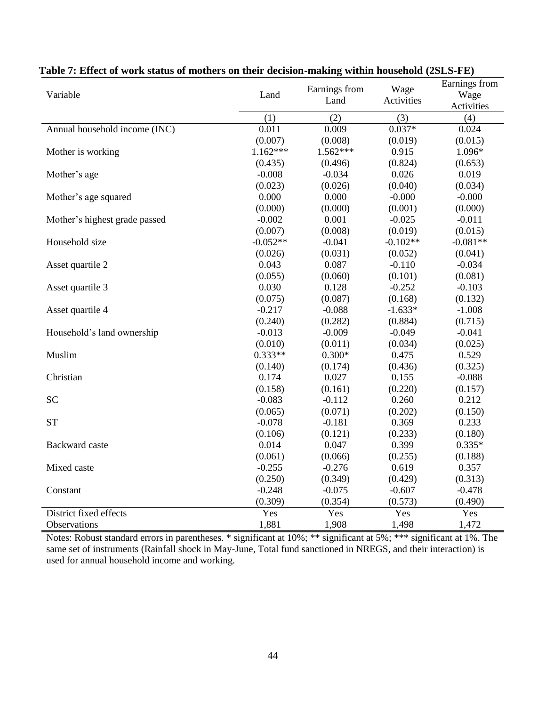| Variable                      | Land       | Earnings from<br>Land | Wage<br>Activities | Earnings from<br>Wage<br>Activities |
|-------------------------------|------------|-----------------------|--------------------|-------------------------------------|
|                               | (1)        | (2)                   | (3)                | (4)                                 |
| Annual household income (INC) | 0.011      | 0.009                 | $0.037*$           | 0.024                               |
|                               | (0.007)    | (0.008)               | (0.019)            | (0.015)                             |
| Mother is working             | $1.162***$ | $1.562***$            | 0.915              | 1.096*                              |
|                               | (0.435)    | (0.496)               | (0.824)            | (0.653)                             |
| Mother's age                  | $-0.008$   | $-0.034$              | 0.026              | 0.019                               |
|                               | (0.023)    | (0.026)               | (0.040)            | (0.034)                             |
| Mother's age squared          | 0.000      | 0.000                 | $-0.000$           | $-0.000$                            |
|                               | (0.000)    | (0.000)               | (0.001)            | (0.000)                             |
| Mother's highest grade passed | $-0.002$   | 0.001                 | $-0.025$           | $-0.011$                            |
|                               | (0.007)    | (0.008)               | (0.019)            | (0.015)                             |
| Household size                | $-0.052**$ | $-0.041$              | $-0.102**$         | $-0.081**$                          |
|                               | (0.026)    | (0.031)               | (0.052)            | (0.041)                             |
| Asset quartile 2              | 0.043      | 0.087                 | $-0.110$           | $-0.034$                            |
|                               | (0.055)    | (0.060)               | (0.101)            | (0.081)                             |
| Asset quartile 3              | 0.030      | 0.128                 | $-0.252$           | $-0.103$                            |
|                               | (0.075)    | (0.087)               | (0.168)            | (0.132)                             |
| Asset quartile 4              | $-0.217$   | $-0.088$              | $-1.633*$          | $-1.008$                            |
|                               | (0.240)    | (0.282)               | (0.884)            | (0.715)                             |
| Household's land ownership    | $-0.013$   | $-0.009$              | $-0.049$           | $-0.041$                            |
|                               | (0.010)    | (0.011)               | (0.034)            | (0.025)                             |
| Muslim                        | $0.333**$  | $0.300*$              | 0.475              | 0.529                               |
|                               | (0.140)    | (0.174)               | (0.436)            | (0.325)                             |
| Christian                     | 0.174      | 0.027                 | 0.155              | $-0.088$                            |
|                               | (0.158)    | (0.161)               | (0.220)            | (0.157)                             |
| <b>SC</b>                     | $-0.083$   | $-0.112$              | 0.260              | 0.212                               |
|                               | (0.065)    | (0.071)               | (0.202)            | (0.150)                             |
| <b>ST</b>                     | $-0.078$   | $-0.181$              | 0.369              | 0.233                               |
|                               | (0.106)    | (0.121)               | (0.233)            | (0.180)                             |
| <b>Backward</b> caste         | 0.014      | 0.047                 | 0.399              | $0.335*$                            |
|                               | (0.061)    | (0.066)               | (0.255)            | (0.188)                             |
| Mixed caste                   | $-0.255$   | $-0.276$              | 0.619              | 0.357                               |
|                               | (0.250)    | (0.349)               | (0.429)            | (0.313)                             |
| Constant                      | $-0.248$   | $-0.075$              | $-0.607$           | $-0.478$                            |
|                               | (0.309)    | (0.354)               | (0.573)            | (0.490)                             |
| District fixed effects        | Yes        | Yes                   | Yes                | Yes                                 |
| Observations                  | 1,881      | 1,908                 | 1,498              | 1,472                               |

## **Table 7: Effect of work status of mothers on their decision-making within household (2SLS-FE)**

Notes: Robust standard errors in parentheses. \* significant at 10%; \*\* significant at 5%; \*\*\* significant at 1%. The same set of instruments (Rainfall shock in May-June, Total fund sanctioned in NREGS, and their interaction) is used for annual household income and working.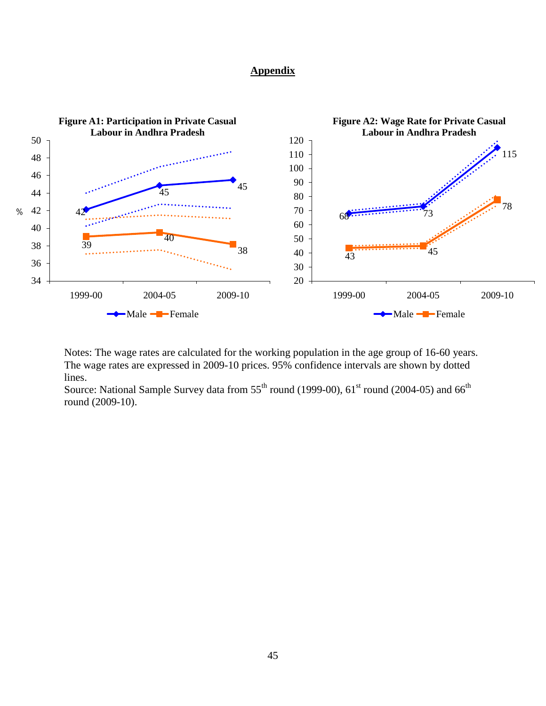### **Appendix**



Notes: The wage rates are calculated for the working population in the age group of 16-60 years. The wage rates are expressed in 2009-10 prices. 95% confidence intervals are shown by dotted lines.

Source: National Sample Survey data from  $55<sup>th</sup>$  round (1999-00),  $61<sup>st</sup>$  round (2004-05) and  $66<sup>th</sup>$ round (2009-10).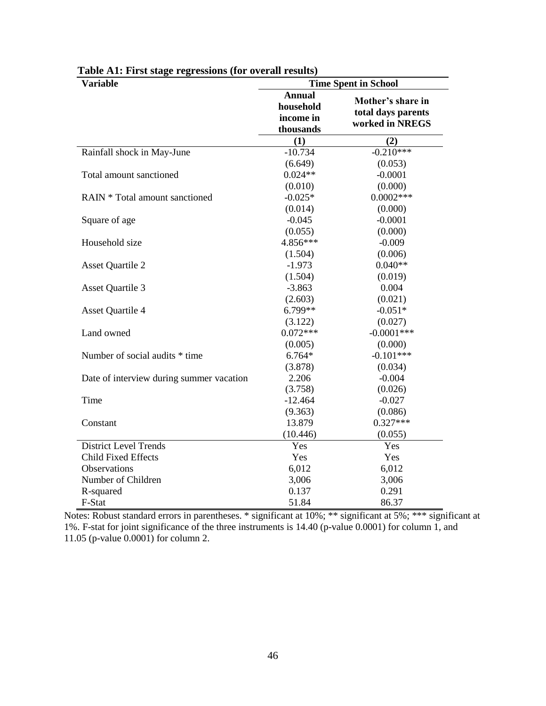| <b>Variable</b>                          | <b>Time Spent in School</b>                          |                                                            |  |  |  |
|------------------------------------------|------------------------------------------------------|------------------------------------------------------------|--|--|--|
|                                          | <b>Annual</b><br>household<br>income in<br>thousands | Mother's share in<br>total days parents<br>worked in NREGS |  |  |  |
|                                          | (1)                                                  | (2)                                                        |  |  |  |
| Rainfall shock in May-June               | $-10.734$                                            | $-0.210***$                                                |  |  |  |
|                                          | (6.649)                                              | (0.053)                                                    |  |  |  |
| Total amount sanctioned                  | $0.024**$                                            | $-0.0001$                                                  |  |  |  |
|                                          | (0.010)                                              | (0.000)                                                    |  |  |  |
| RAIN * Total amount sanctioned           | $-0.025*$                                            | $0.0002***$                                                |  |  |  |
|                                          | (0.014)                                              | (0.000)                                                    |  |  |  |
| Square of age                            | $-0.045$                                             | $-0.0001$                                                  |  |  |  |
|                                          | (0.055)                                              | (0.000)                                                    |  |  |  |
| Household size                           | 4.856***                                             | $-0.009$                                                   |  |  |  |
|                                          | (1.504)                                              | (0.006)                                                    |  |  |  |
| <b>Asset Quartile 2</b>                  | $-1.973$                                             | $0.040**$                                                  |  |  |  |
|                                          | (1.504)                                              | (0.019)                                                    |  |  |  |
| <b>Asset Quartile 3</b>                  | $-3.863$                                             | 0.004                                                      |  |  |  |
|                                          | (2.603)                                              | (0.021)                                                    |  |  |  |
| <b>Asset Quartile 4</b>                  | 6.799**                                              | $-0.051*$                                                  |  |  |  |
|                                          | (3.122)                                              | (0.027)                                                    |  |  |  |
| Land owned                               | $0.072***$                                           | $-0.0001$ ***                                              |  |  |  |
|                                          | (0.005)                                              | (0.000)                                                    |  |  |  |
| Number of social audits * time           | $6.764*$                                             | $-0.101***$                                                |  |  |  |
|                                          | (3.878)                                              | (0.034)                                                    |  |  |  |
| Date of interview during summer vacation | 2.206                                                | $-0.004$                                                   |  |  |  |
|                                          | (3.758)                                              | (0.026)                                                    |  |  |  |
| Time                                     | $-12.464$                                            | $-0.027$                                                   |  |  |  |
|                                          | (9.363)                                              | (0.086)                                                    |  |  |  |
| Constant                                 | 13.879                                               | $0.327***$                                                 |  |  |  |
|                                          | (10.446)                                             | (0.055)                                                    |  |  |  |
| <b>District Level Trends</b>             | Yes                                                  | Yes                                                        |  |  |  |
| <b>Child Fixed Effects</b>               | Yes                                                  | Yes                                                        |  |  |  |
| Observations                             | 6,012                                                | 6,012                                                      |  |  |  |
| Number of Children                       | 3,006                                                | 3,006                                                      |  |  |  |
| R-squared                                | 0.137                                                | 0.291                                                      |  |  |  |
| F-Stat                                   | 51.84                                                | 86.37                                                      |  |  |  |

 **Table A1: First stage regressions (for overall results)**

Notes: Robust standard errors in parentheses. \* significant at 10%; \*\* significant at 5%; \*\*\* significant at 1%. F-stat for joint significance of the three instruments is 14.40 (p-value 0.0001) for column 1, and 11.05 (p-value 0.0001) for column 2.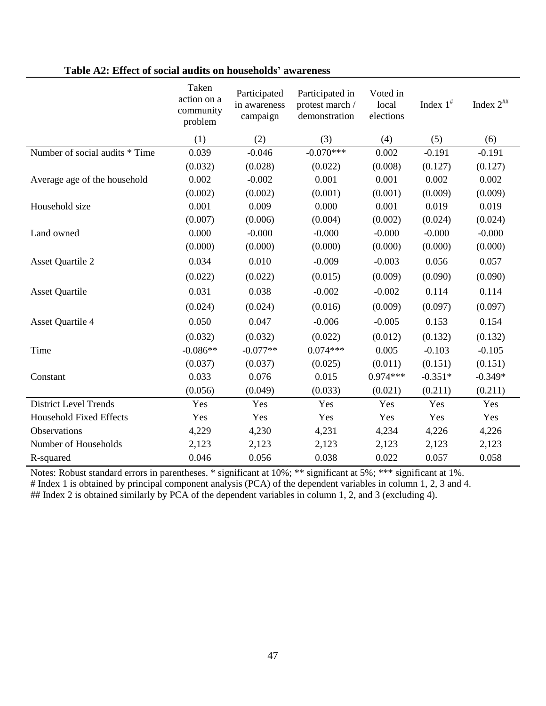|                                | Taken<br>action on a<br>community<br>problem | Participated<br>in awareness<br>campaign | Participated in<br>protest march /<br>demonstration | Voted in<br>local<br>elections | Index $1^*$ | Index $2^{***}$ |
|--------------------------------|----------------------------------------------|------------------------------------------|-----------------------------------------------------|--------------------------------|-------------|-----------------|
|                                | (1)                                          | (2)                                      | (3)                                                 | (4)                            | (5)         | (6)             |
| Number of social audits * Time | 0.039                                        | $-0.046$                                 | $-0.070***$                                         | 0.002                          | $-0.191$    | $-0.191$        |
|                                | (0.032)                                      | (0.028)                                  | (0.022)                                             | (0.008)                        | (0.127)     | (0.127)         |
| Average age of the household   | 0.002                                        | $-0.002$                                 | 0.001                                               | 0.001                          | 0.002       | 0.002           |
|                                | (0.002)                                      | (0.002)                                  | (0.001)                                             | (0.001)                        | (0.009)     | (0.009)         |
| Household size                 | 0.001                                        | 0.009                                    | 0.000                                               | 0.001                          | 0.019       | 0.019           |
|                                | (0.007)                                      | (0.006)                                  | (0.004)                                             | (0.002)                        | (0.024)     | (0.024)         |
| Land owned                     | 0.000                                        | $-0.000$                                 | $-0.000$                                            | $-0.000$                       | $-0.000$    | $-0.000$        |
|                                | (0.000)                                      | (0.000)                                  | (0.000)                                             | (0.000)                        | (0.000)     | (0.000)         |
| <b>Asset Quartile 2</b>        | 0.034                                        | 0.010                                    | $-0.009$                                            | $-0.003$                       | 0.056       | 0.057           |
|                                | (0.022)                                      | (0.022)                                  | (0.015)                                             | (0.009)                        | (0.090)     | (0.090)         |
| <b>Asset Quartile</b>          | 0.031                                        | 0.038                                    | $-0.002$                                            | $-0.002$                       | 0.114       | 0.114           |
|                                | (0.024)                                      | (0.024)                                  | (0.016)                                             | (0.009)                        | (0.097)     | (0.097)         |
| <b>Asset Quartile 4</b>        | 0.050                                        | 0.047                                    | $-0.006$                                            | $-0.005$                       | 0.153       | 0.154           |
|                                | (0.032)                                      | (0.032)                                  | (0.022)                                             | (0.012)                        | (0.132)     | (0.132)         |
| Time                           | $-0.086**$                                   | $-0.077**$                               | $0.074***$                                          | 0.005                          | $-0.103$    | $-0.105$        |
|                                | (0.037)                                      | (0.037)                                  | (0.025)                                             | (0.011)                        | (0.151)     | (0.151)         |
| Constant                       | 0.033                                        | 0.076                                    | 0.015                                               | $0.974***$                     | $-0.351*$   | $-0.349*$       |
|                                | (0.056)                                      | (0.049)                                  | (0.033)                                             | (0.021)                        | (0.211)     | (0.211)         |
| <b>District Level Trends</b>   | Yes                                          | Yes                                      | Yes                                                 | Yes                            | Yes         | Yes             |
| <b>Household Fixed Effects</b> | Yes                                          | Yes                                      | Yes                                                 | Yes                            | Yes         | Yes             |
| Observations                   | 4,229                                        | 4,230                                    | 4,231                                               | 4,234                          | 4,226       | 4,226           |
| Number of Households           | 2,123                                        | 2,123                                    | 2,123                                               | 2,123                          | 2,123       | 2,123           |
| R-squared                      | 0.046                                        | 0.056                                    | 0.038                                               | 0.022                          | 0.057       | 0.058           |

## **Table A2: Effect of social audits on households' awareness**

Notes: Robust standard errors in parentheses. \* significant at 10%; \*\* significant at 5%; \*\*\* significant at 1%. # Index 1 is obtained by principal component analysis (PCA) of the dependent variables in column 1, 2, 3 and 4. ## Index 2 is obtained similarly by PCA of the dependent variables in column 1, 2, and 3 (excluding 4).